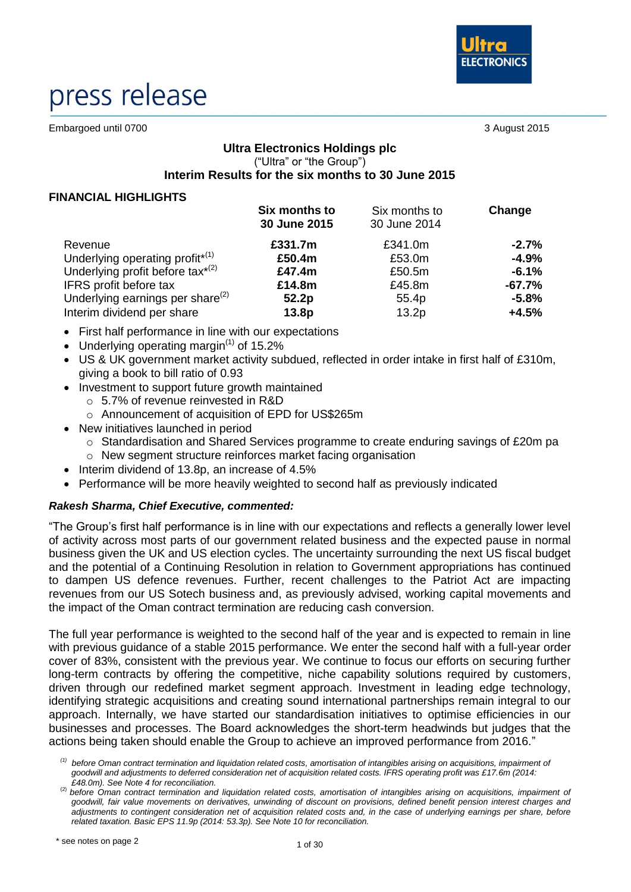

# press release

Embargoed until 0700 3 August 2015

# **Ultra Electronics Holdings plc** ("Ultra" or "the Group") **Interim Results for the six months to 30 June 2015**

# **FINANCIAL HIGHLIGHTS**

|                                              | Six months to<br>30 June 2015 | Six months to<br>30 June 2014 | Change   |
|----------------------------------------------|-------------------------------|-------------------------------|----------|
| Revenue                                      | £331.7m                       | £341.0m                       | $-2.7%$  |
| Underlying operating profit <sup>*(1)</sup>  | £50.4m                        | £53.0m                        | $-4.9%$  |
| Underlying profit before tax <sup>*(2)</sup> | £47.4m                        | £50.5m                        | $-6.1%$  |
| IFRS profit before tax                       | £14.8m                        | £45.8m                        | $-67.7%$ |
| Underlying earnings per share $(2)$          | 52.2p                         | 55.4p                         | $-5.8%$  |
| Interim dividend per share                   | 13.8 <sub>p</sub>             | 13.2 <sub>p</sub>             | $+4.5%$  |

- First half performance in line with our expectations
- Underlying operating margin<sup> $(1)$ </sup> of 15.2%
- US & UK government market activity subdued, reflected in order intake in first half of £310m, giving a book to bill ratio of 0.93
- Investment to support future growth maintained
	- o 5.7% of revenue reinvested in R&D
	- o Announcement of acquisition of EPD for US\$265m
- New initiatives launched in period
	- o Standardisation and Shared Services programme to create enduring savings of £20m pa
	- o New segment structure reinforces market facing organisation
- Interim dividend of 13.8p, an increase of 4.5%
- Performance will be more heavily weighted to second half as previously indicated

# *Rakesh Sharma, Chief Executive, commented:*

"The Group's first half performance is in line with our expectations and reflects a generally lower level of activity across most parts of our government related business and the expected pause in normal business given the UK and US election cycles. The uncertainty surrounding the next US fiscal budget and the potential of a Continuing Resolution in relation to Government appropriations has continued to dampen US defence revenues. Further, recent challenges to the Patriot Act are impacting revenues from our US Sotech business and, as previously advised, working capital movements and the impact of the Oman contract termination are reducing cash conversion.

The full year performance is weighted to the second half of the year and is expected to remain in line with previous guidance of a stable 2015 performance. We enter the second half with a full-year order cover of 83%, consistent with the previous year. We continue to focus our efforts on securing further long-term contracts by offering the competitive, niche capability solutions required by customers, driven through our redefined market segment approach. Investment in leading edge technology, identifying strategic acquisitions and creating sound international partnerships remain integral to our approach. Internally, we have started our standardisation initiatives to optimise efficiencies in our businesses and processes. The Board acknowledges the short-term headwinds but judges that the actions being taken should enable the Group to achieve an improved performance from 2016."

*<sup>(1)</sup> before Oman contract termination and liquidation related costs, amortisation of intangibles arising on acquisitions, impairment of goodwill and adjustments to deferred consideration net of acquisition related costs. IFRS operating profit was £17.6m (2014: £48.0m). See Note 4 for reconciliation.*

<sup>(2)</sup> *before Oman contract termination and liquidation related costs, amortisation of intangibles arising on acquisitions, impairment of goodwill, fair value movements on derivatives, unwinding of discount on provisions, defined benefit pension interest charges and adjustments to contingent consideration net of acquisition related costs and, in the case of underlying earnings per share, before related taxation. Basic EPS 11.9p (2014: 53.3p). See Note 10 for reconciliation.*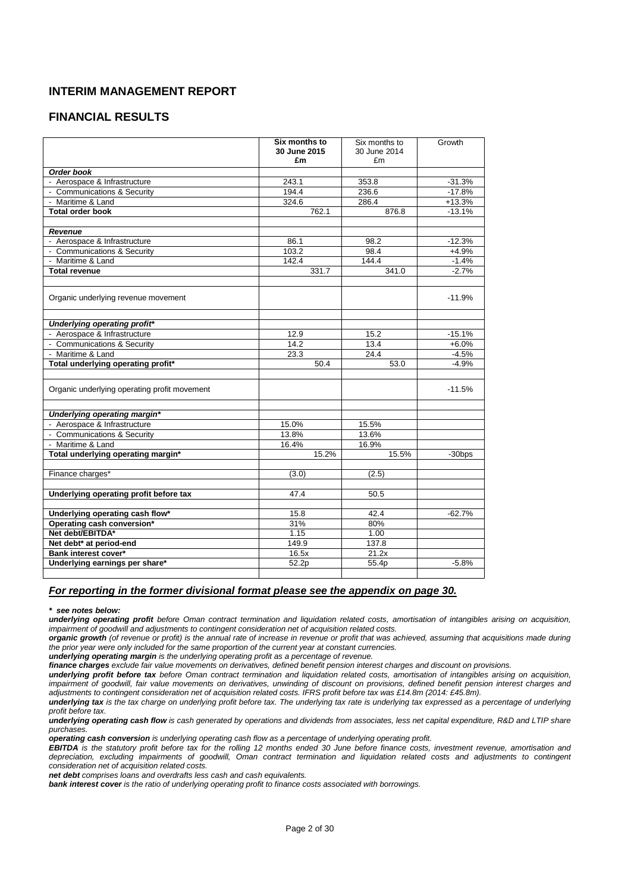# **INTERIM MANAGEMENT REPORT**

# **FINANCIAL RESULTS**

|                                              | Six months to<br>30 June 2015<br>£m | Six months to<br>30 June 2014<br>£m | Growth    |
|----------------------------------------------|-------------------------------------|-------------------------------------|-----------|
| Order book                                   |                                     |                                     |           |
| - Aerospace & Infrastructure                 | 243.1                               | 353.8                               | $-31.3%$  |
| - Communications & Security                  | 194.4                               | 236.6                               | $-17.8%$  |
| - Maritime & Land                            | 324.6                               | 286.4                               | $+13.3%$  |
| <b>Total order book</b>                      | 762.1                               | 876.8                               | $-13.1%$  |
|                                              |                                     |                                     |           |
| <b>Revenue</b>                               |                                     |                                     |           |
| - Aerospace & Infrastructure                 | 86.1                                | 98.2                                | $-12.3%$  |
| - Communications & Security                  | 103.2                               | 98.4                                | $+4.9%$   |
| - Maritime & Land                            | 142.4                               | 144.4                               | $-1.4%$   |
| <b>Total revenue</b>                         | 331.7                               | 341.0                               | $-2.7%$   |
| Organic underlying revenue movement          |                                     |                                     | $-11.9%$  |
| Underlying operating profit*                 |                                     |                                     |           |
| - Aerospace & Infrastructure                 | 12.9                                | 15.2                                | $-15.1%$  |
| - Communications & Security                  | 14.2                                | 13.4                                | $+6.0%$   |
| - Maritime & Land                            | 23.3                                | 24.4                                | $-4.5%$   |
| Total underlying operating profit*           | 50.4                                | 53.0                                | $-4.9%$   |
|                                              |                                     |                                     |           |
| Organic underlying operating profit movement |                                     |                                     | $-11.5%$  |
| Underlying operating margin*                 |                                     |                                     |           |
| - Aerospace & Infrastructure                 | 15.0%                               | 15.5%                               |           |
| - Communications & Security                  | 13.8%                               | 13.6%                               |           |
| - Maritime & Land                            | 16.4%                               | 16.9%                               |           |
| Total underlying operating margin*           | 15.2%                               | 15.5%                               | $-30$ bps |
|                                              |                                     |                                     |           |
| Finance charges*                             | (3.0)                               | (2.5)                               |           |
| Underlying operating profit before tax       | 47.4                                | 50.5                                |           |
| Underlying operating cash flow*              | 15.8                                | 42.4                                | $-62.7%$  |
| Operating cash conversion*                   | 31%                                 | 80%                                 |           |
| Net debt/EBITDA*                             | 1.15                                | 1.00                                |           |
| Net debt* at period-end                      | 149.9                               | 137.8                               |           |
| Bank interest cover*                         | 16.5x                               | 21.2x                               |           |
| Underlying earnings per share*               | 52.2p                               | 55.4p                               | $-5.8%$   |
|                                              |                                     |                                     |           |

## *For reporting in the former divisional format please see the appendix on page 30.*

#### *\* see notes below:*

*underlying operating profit before Oman contract termination and liquidation related costs, amortisation of intangibles arising on acquisition, impairment of goodwill and adjustments to contingent consideration net of acquisition related costs.* 

*organic growth (of revenue or profit) is the annual rate of increase in revenue or profit that was achieved, assuming that acquisitions made during the prior year were only included for the same proportion of the current year at constant currencies.*

*underlying operating margin is the underlying operating profit as a percentage of revenue.*

*finance charges exclude fair value movements on derivatives, defined benefit pension interest charges and discount on provisions.*

*underlying profit before tax before Oman contract termination and liquidation related costs, amortisation of intangibles arising on acquisition, impairment of goodwill, fair value movements on derivatives, unwinding of discount on provisions, defined benefit pension interest charges and adjustments to contingent consideration net of acquisition related costs. IFRS profit before tax was £14.8m (2014: £45.8m).*

underlying tax is the tax charge on underlying profit before tax. The underlying tax rate is underlying tax expressed as a percentage of underlying *profit before tax.*

*underlying operating cash flow is cash generated by operations and dividends from associates, less net capital expenditure, R&D and LTIP share purchases.*

*operating cash conversion is underlying operating cash flow as a percentage of underlying operating profit.*

*EBITDA is the statutory profit before tax for the rolling 12 months ended 30 June before finance costs, investment revenue, amortisation and depreciation, excluding impairments of goodwill, Oman contract termination and liquidation related costs and adjustments to contingent consideration net of acquisition related costs.* 

*net debt comprises loans and overdrafts less cash and cash equivalents.*

*bank interest cover is the ratio of underlying operating profit to finance costs associated with borrowings.*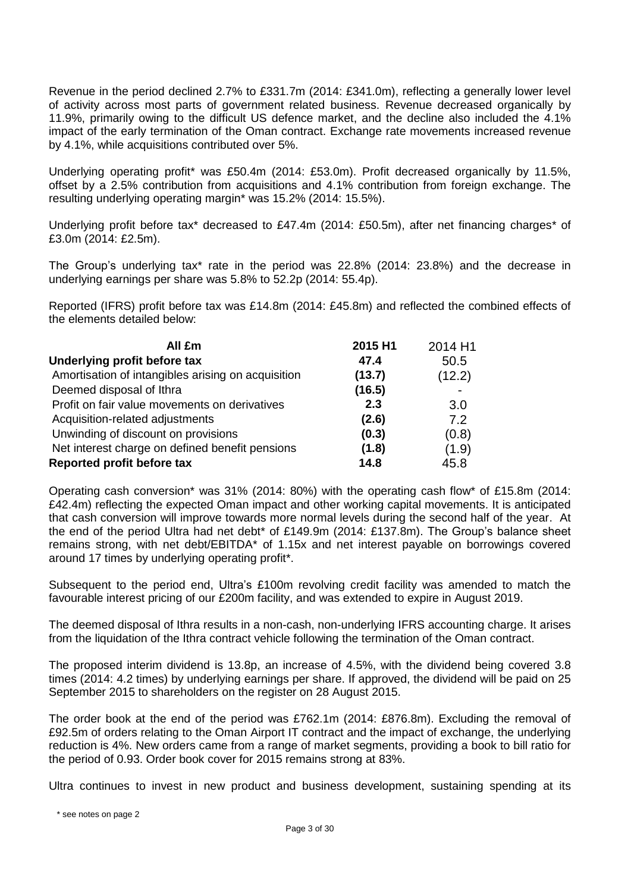Revenue in the period declined 2.7% to £331.7m (2014: £341.0m), reflecting a generally lower level of activity across most parts of government related business. Revenue decreased organically by 11.9%, primarily owing to the difficult US defence market, and the decline also included the 4.1% impact of the early termination of the Oman contract. Exchange rate movements increased revenue by 4.1%, while acquisitions contributed over 5%.

Underlying operating profit\* was £50.4m (2014: £53.0m). Profit decreased organically by 11.5%, offset by a 2.5% contribution from acquisitions and 4.1% contribution from foreign exchange. The resulting underlying operating margin\* was 15.2% (2014: 15.5%).

Underlying profit before tax\* decreased to £47.4m (2014: £50.5m), after net financing charges\* of £3.0m (2014: £2.5m).

The Group's underlying tax\* rate in the period was 22.8% (2014: 23.8%) and the decrease in underlying earnings per share was 5.8% to 52.2p (2014: 55.4p).

Reported (IFRS) profit before tax was £14.8m (2014: £45.8m) and reflected the combined effects of the elements detailed below:

| All £m                                             | 2015 H1 | 2014 H1 |
|----------------------------------------------------|---------|---------|
| Underlying profit before tax                       | 47.4    | 50.5    |
| Amortisation of intangibles arising on acquisition | (13.7)  | (12.2)  |
| Deemed disposal of Ithra                           | (16.5)  |         |
| Profit on fair value movements on derivatives      | 2.3     | 3.0     |
| Acquisition-related adjustments                    | (2.6)   | 7.2     |
| Unwinding of discount on provisions                | (0.3)   | (0.8)   |
| Net interest charge on defined benefit pensions    | (1.8)   | (1.9)   |
| Reported profit before tax                         | 14.8    | 45.8    |

Operating cash conversion\* was 31% (2014: 80%) with the operating cash flow\* of £15.8m (2014: £42.4m) reflecting the expected Oman impact and other working capital movements. It is anticipated that cash conversion will improve towards more normal levels during the second half of the year. At the end of the period Ultra had net debt\* of £149.9m (2014: £137.8m). The Group's balance sheet remains strong, with net debt/EBITDA\* of 1.15x and net interest payable on borrowings covered around 17 times by underlying operating profit\*.

Subsequent to the period end, Ultra's £100m revolving credit facility was amended to match the favourable interest pricing of our £200m facility, and was extended to expire in August 2019.

The deemed disposal of Ithra results in a non-cash, non-underlying IFRS accounting charge. It arises from the liquidation of the Ithra contract vehicle following the termination of the Oman contract.

The proposed interim dividend is 13.8p, an increase of 4.5%, with the dividend being covered 3.8 times (2014: 4.2 times) by underlying earnings per share. If approved, the dividend will be paid on 25 September 2015 to shareholders on the register on 28 August 2015.

The order book at the end of the period was £762.1m (2014: £876.8m). Excluding the removal of £92.5m of orders relating to the Oman Airport IT contract and the impact of exchange, the underlying reduction is 4%. New orders came from a range of market segments, providing a book to bill ratio for the period of 0.93. Order book cover for 2015 remains strong at 83%.

Ultra continues to invest in new product and business development, sustaining spending at its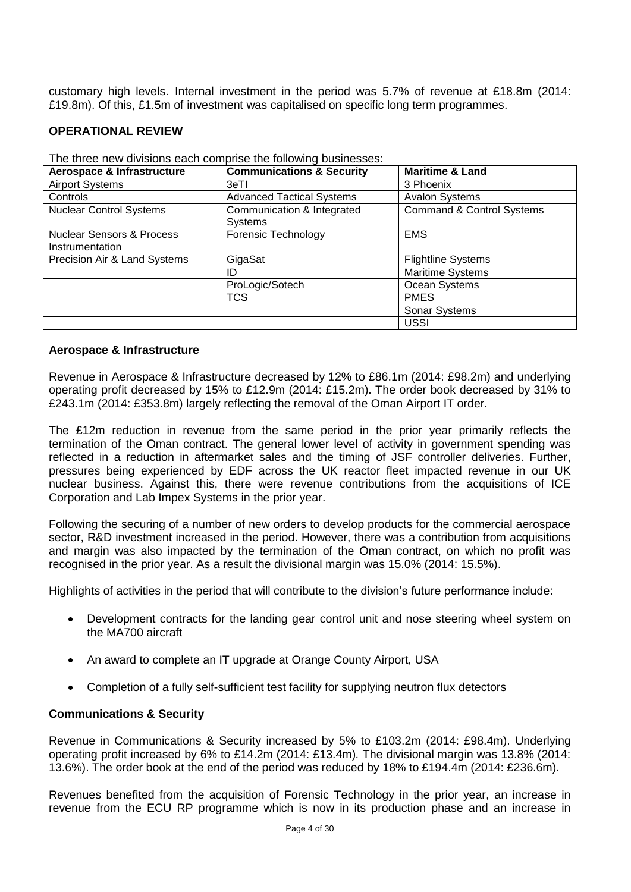customary high levels. Internal investment in the period was 5.7% of revenue at £18.8m (2014: £19.8m). Of this, £1.5m of investment was capitalised on specific long term programmes.

# **OPERATIONAL REVIEW**

| Aerospace & Infrastructure                              | <b>Communications &amp; Security</b>         | <b>Maritime &amp; Land</b>           |
|---------------------------------------------------------|----------------------------------------------|--------------------------------------|
| <b>Airport Systems</b>                                  | 3eTI                                         | 3 Phoenix                            |
| Controls                                                | <b>Advanced Tactical Systems</b>             | <b>Avalon Systems</b>                |
| <b>Nuclear Control Systems</b>                          | Communication & Integrated<br><b>Systems</b> | <b>Command &amp; Control Systems</b> |
| <b>Nuclear Sensors &amp; Process</b><br>Instrumentation | <b>Forensic Technology</b>                   | <b>EMS</b>                           |
| Precision Air & Land Systems                            | GigaSat                                      | <b>Flightline Systems</b>            |
|                                                         | ID                                           | <b>Maritime Systems</b>              |
|                                                         | ProLogic/Sotech                              | Ocean Systems                        |
|                                                         | <b>TCS</b>                                   | <b>PMES</b>                          |
|                                                         |                                              | Sonar Systems                        |
|                                                         |                                              | <b>USSI</b>                          |

The three new divisions each comprise the following businesses:

# **Aerospace & Infrastructure**

Revenue in Aerospace & Infrastructure decreased by 12% to £86.1m (2014: £98.2m) and underlying operating profit decreased by 15% to £12.9m (2014: £15.2m). The order book decreased by 31% to £243.1m (2014: £353.8m) largely reflecting the removal of the Oman Airport IT order.

The £12m reduction in revenue from the same period in the prior year primarily reflects the termination of the Oman contract. The general lower level of activity in government spending was reflected in a reduction in aftermarket sales and the timing of JSF controller deliveries. Further, pressures being experienced by EDF across the UK reactor fleet impacted revenue in our UK nuclear business. Against this, there were revenue contributions from the acquisitions of ICE Corporation and Lab Impex Systems in the prior year.

Following the securing of a number of new orders to develop products for the commercial aerospace sector, R&D investment increased in the period. However, there was a contribution from acquisitions and margin was also impacted by the termination of the Oman contract, on which no profit was recognised in the prior year. As a result the divisional margin was 15.0% (2014: 15.5%).

Highlights of activities in the period that will contribute to the division's future performance include:

- Development contracts for the landing gear control unit and nose steering wheel system on the MA700 aircraft
- An award to complete an IT upgrade at Orange County Airport, USA
- Completion of a fully self-sufficient test facility for supplying neutron flux detectors

# **Communications & Security**

Revenue in Communications & Security increased by 5% to £103.2m (2014: £98.4m). Underlying operating profit increased by 6% to £14.2m (2014: £13.4m)*.* The divisional margin was 13.8% (2014: 13.6%). The order book at the end of the period was reduced by 18% to £194.4m (2014: £236.6m).

Revenues benefited from the acquisition of Forensic Technology in the prior year, an increase in revenue from the ECU RP programme which is now in its production phase and an increase in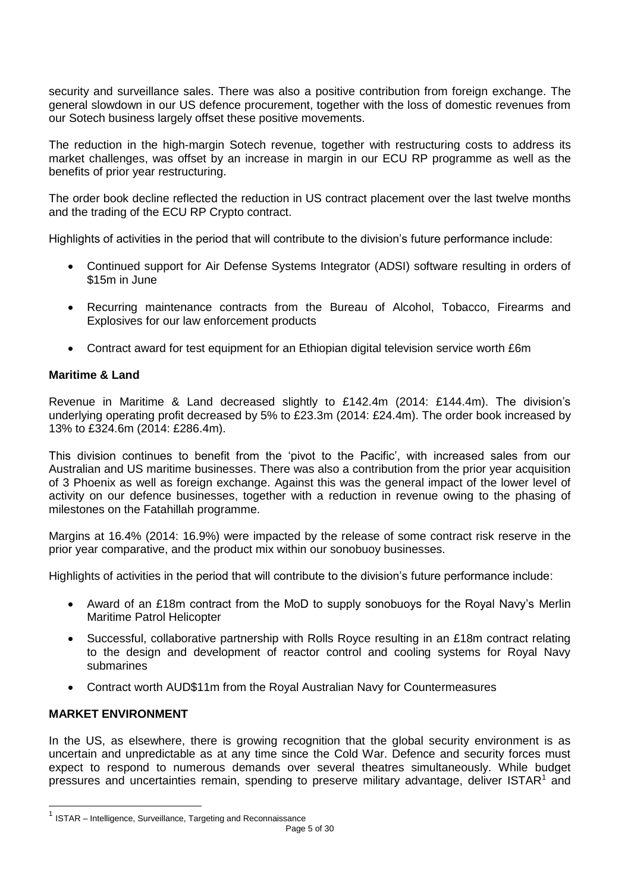security and surveillance sales. There was also a positive contribution from foreign exchange. The general slowdown in our US defence procurement, together with the loss of domestic revenues from our Sotech business largely offset these positive movements.

The reduction in the high-margin Sotech revenue, together with restructuring costs to address its market challenges, was offset by an increase in margin in our ECU RP programme as well as the benefits of prior year restructuring.

The order book decline reflected the reduction in US contract placement over the last twelve months and the trading of the ECU RP Crypto contract.

Highlights of activities in the period that will contribute to the division's future performance include:

- Continued support for Air Defense Systems Integrator (ADSI) software resulting in orders of \$15m in June
- Recurring maintenance contracts from the Bureau of Alcohol, Tobacco, Firearms and Explosives for our law enforcement products
- Contract award for test equipment for an Ethiopian digital television service worth £6m

# **Maritime & Land**

Revenue in Maritime & Land decreased slightly to £142.4m (2014: £144.4m). The division's underlying operating profit decreased by 5% to £23.3m (2014: £24.4m). The order book increased by 13% to £324.6m (2014: £286.4m).

This division continues to benefit from the 'pivot to the Pacific', with increased sales from our Australian and US maritime businesses. There was also a contribution from the prior year acquisition of 3 Phoenix as well as foreign exchange. Against this was the general impact of the lower level of activity on our defence businesses, together with a reduction in revenue owing to the phasing of milestones on the Fatahillah programme.

Margins at 16.4% (2014: 16.9%) were impacted by the release of some contract risk reserve in the prior year comparative, and the product mix within our sonobuoy businesses.

Highlights of activities in the period that will contribute to the division's future performance include:

- Award of an £18m contract from the MoD to supply sonobuoys for the Royal Navy's Merlin Maritime Patrol Helicopter
- Successful, collaborative partnership with Rolls Royce resulting in an £18m contract relating to the design and development of reactor control and cooling systems for Royal Navy submarines
- Contract worth AUD\$11m from the Royal Australian Navy for Countermeasures

# **MARKET ENVIRONMENT**

-

In the US, as elsewhere, there is growing recognition that the global security environment is as uncertain and unpredictable as at any time since the Cold War. Defence and security forces must expect to respond to numerous demands over several theatres simultaneously. While budget pressures and uncertainties remain, spending to preserve military advantage, deliver ISTAR<sup>1</sup> and

 $1$  ISTAR – Intelligence, Surveillance, Targeting and Reconnaissance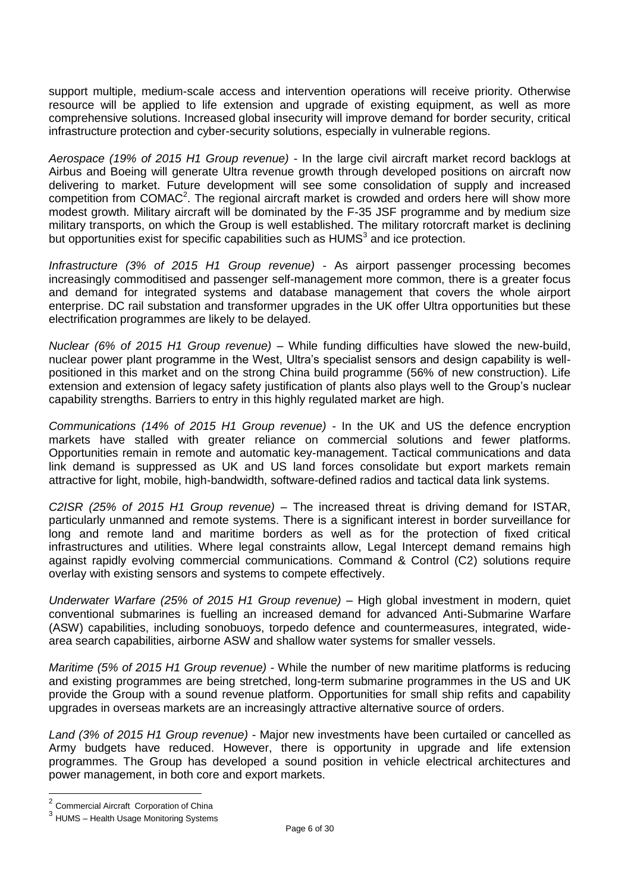support multiple, medium-scale access and intervention operations will receive priority. Otherwise resource will be applied to life extension and upgrade of existing equipment, as well as more comprehensive solutions. Increased global insecurity will improve demand for border security, critical infrastructure protection and cyber-security solutions, especially in vulnerable regions.

*Aerospace (19% of 2015 H1 Group revenue) -* In the large civil aircraft market record backlogs at Airbus and Boeing will generate Ultra revenue growth through developed positions on aircraft now delivering to market. Future development will see some consolidation of supply and increased competition from COMAC<sup>2</sup>. The regional aircraft market is crowded and orders here will show more modest growth. Military aircraft will be dominated by the F-35 JSF programme and by medium size military transports, on which the Group is well established. The military rotorcraft market is declining but opportunities exist for specific capabilities such as  $HUMS<sup>3</sup>$  and ice protection.

*Infrastructure (3% of 2015 H1 Group revenue) -* As airport passenger processing becomes increasingly commoditised and passenger self-management more common, there is a greater focus and demand for integrated systems and database management that covers the whole airport enterprise. DC rail substation and transformer upgrades in the UK offer Ultra opportunities but these electrification programmes are likely to be delayed.

*Nuclear (6% of 2015 H1 Group revenue) –* While funding difficulties have slowed the new-build, nuclear power plant programme in the West, Ultra's specialist sensors and design capability is wellpositioned in this market and on the strong China build programme (56% of new construction). Life extension and extension of legacy safety justification of plants also plays well to the Group's nuclear capability strengths. Barriers to entry in this highly regulated market are high.

*Communications (14% of 2015 H1 Group revenue) -* In the UK and US the defence encryption markets have stalled with greater reliance on commercial solutions and fewer platforms. Opportunities remain in remote and automatic key-management. Tactical communications and data link demand is suppressed as UK and US land forces consolidate but export markets remain attractive for light, mobile, high-bandwidth, software-defined radios and tactical data link systems.

*C2ISR (25% of 2015 H1 Group revenue) –* The increased threat is driving demand for ISTAR, particularly unmanned and remote systems. There is a significant interest in border surveillance for long and remote land and maritime borders as well as for the protection of fixed critical infrastructures and utilities. Where legal constraints allow, Legal Intercept demand remains high against rapidly evolving commercial communications. Command & Control (C2) solutions require overlay with existing sensors and systems to compete effectively.

*Underwater Warfare (25% of 2015 H1 Group revenue) –* High global investment in modern, quiet conventional submarines is fuelling an increased demand for advanced Anti-Submarine Warfare (ASW) capabilities, including sonobuoys, torpedo defence and countermeasures, integrated, widearea search capabilities, airborne ASW and shallow water systems for smaller vessels.

*Maritime (5% of 2015 H1 Group revenue) -* While the number of new maritime platforms is reducing and existing programmes are being stretched, long-term submarine programmes in the US and UK provide the Group with a sound revenue platform. Opportunities for small ship refits and capability upgrades in overseas markets are an increasingly attractive alternative source of orders.

*Land (3% of 2015 H1 Group revenue) -* Major new investments have been curtailed or cancelled as Army budgets have reduced. However, there is opportunity in upgrade and life extension programmes. The Group has developed a sound position in vehicle electrical architectures and power management, in both core and export markets.

 2 Commercial Aircraft Corporation of China

<sup>&</sup>lt;sup>3</sup> HUMS – Health Usage Monitoring Systems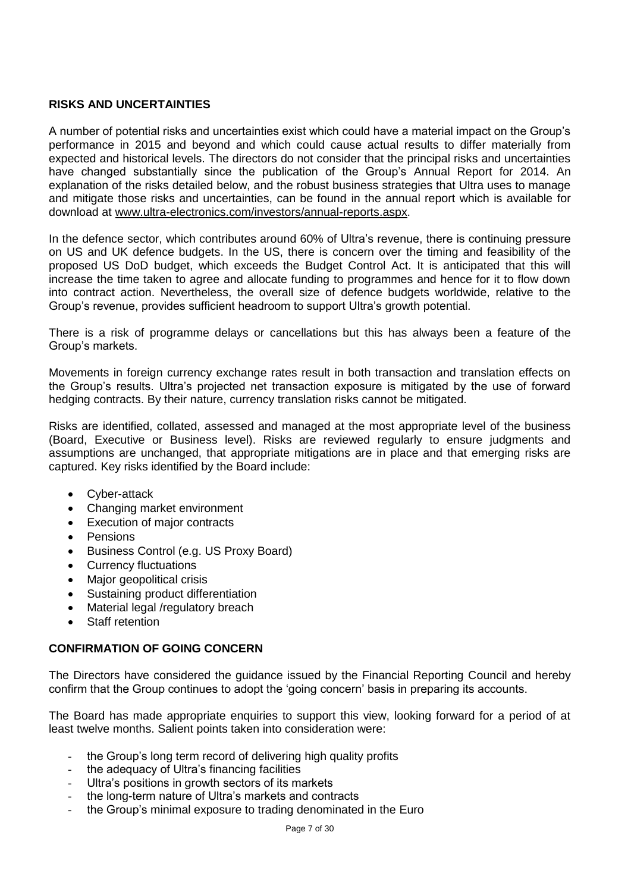# **RISKS AND UNCERTAINTIES**

A number of potential risks and uncertainties exist which could have a material impact on the Group's performance in 2015 and beyond and which could cause actual results to differ materially from expected and historical levels. The directors do not consider that the principal risks and uncertainties have changed substantially since the publication of the Group's Annual Report for 2014. An explanation of the risks detailed below, and the robust business strategies that Ultra uses to manage and mitigate those risks and uncertainties, can be found in the annual report which is available for download at [www.ultra-electronics.com/investors/annual-reports.aspx.](http://www.ultra-electronics.com/investors/annual-reports.aspx)

In the defence sector, which contributes around 60% of Ultra's revenue, there is continuing pressure on US and UK defence budgets. In the US, there is concern over the timing and feasibility of the proposed US DoD budget, which exceeds the Budget Control Act. It is anticipated that this will increase the time taken to agree and allocate funding to programmes and hence for it to flow down into contract action. Nevertheless, the overall size of defence budgets worldwide, relative to the Group's revenue, provides sufficient headroom to support Ultra's growth potential.

There is a risk of programme delays or cancellations but this has always been a feature of the Group's markets.

Movements in foreign currency exchange rates result in both transaction and translation effects on the Group's results. Ultra's projected net transaction exposure is mitigated by the use of forward hedging contracts. By their nature, currency translation risks cannot be mitigated.

Risks are identified, collated, assessed and managed at the most appropriate level of the business (Board, Executive or Business level). Risks are reviewed regularly to ensure judgments and assumptions are unchanged, that appropriate mitigations are in place and that emerging risks are captured. Key risks identified by the Board include:

- Cyber-attack
- Changing market environment
- Execution of major contracts
- Pensions
- Business Control (e.g. US Proxy Board)
- Currency fluctuations
- Major geopolitical crisis
- Sustaining product differentiation
- Material legal /regulatory breach
- Staff retention

# **CONFIRMATION OF GOING CONCERN**

The Directors have considered the guidance issued by the Financial Reporting Council and hereby confirm that the Group continues to adopt the 'going concern' basis in preparing its accounts.

The Board has made appropriate enquiries to support this view, looking forward for a period of at least twelve months. Salient points taken into consideration were:

- the Group's long term record of delivering high quality profits
- the adequacy of Ultra's financing facilities
- Ultra's positions in growth sectors of its markets
- the long-term nature of Ultra's markets and contracts
- the Group's minimal exposure to trading denominated in the Euro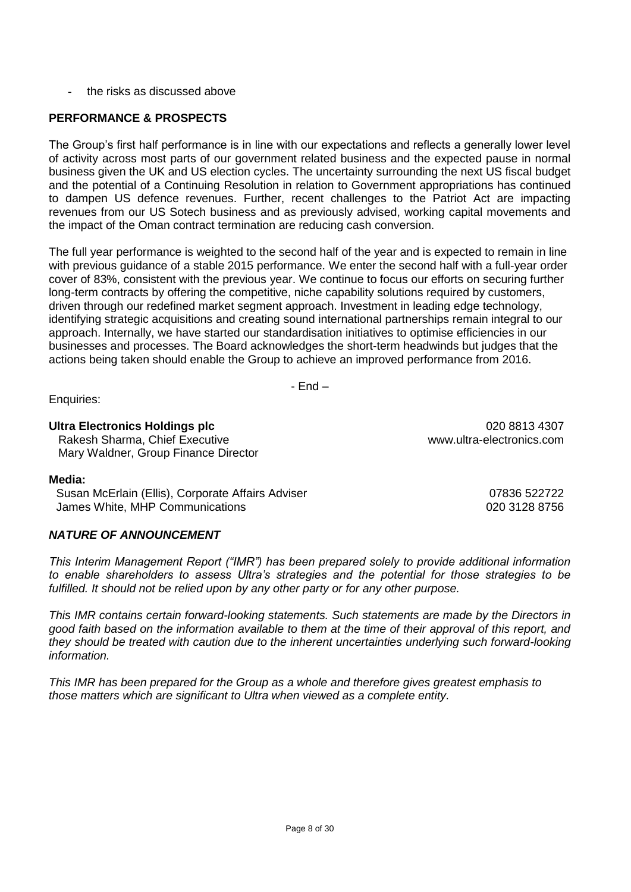the risks as discussed above

# **PERFORMANCE & PROSPECTS**

The Group's first half performance is in line with our expectations and reflects a generally lower level of activity across most parts of our government related business and the expected pause in normal business given the UK and US election cycles. The uncertainty surrounding the next US fiscal budget and the potential of a Continuing Resolution in relation to Government appropriations has continued to dampen US defence revenues. Further, recent challenges to the Patriot Act are impacting revenues from our US Sotech business and as previously advised, working capital movements and the impact of the Oman contract termination are reducing cash conversion.

The full year performance is weighted to the second half of the year and is expected to remain in line with previous guidance of a stable 2015 performance. We enter the second half with a full-year order cover of 83%, consistent with the previous year. We continue to focus our efforts on securing further long-term contracts by offering the competitive, niche capability solutions required by customers, driven through our redefined market segment approach. Investment in leading edge technology, identifying strategic acquisitions and creating sound international partnerships remain integral to our approach. Internally, we have started our standardisation initiatives to optimise efficiencies in our businesses and processes. The Board acknowledges the short-term headwinds but judges that the actions being taken should enable the Group to achieve an improved performance from 2016.

- End –

Enquiries:

# **Ultra Electronics Holdings plc** 020 8813 4307

Rakesh Sharma, Chief Executive www.ultra-electronics.com Mary Waldner, Group Finance Director

# **Media:**

Susan McErlain (Ellis), Corporate Affairs Adviser 07836 522722 James White, MHP Communications **DEVILLE 1020 128 8756** 

# *NATURE OF ANNOUNCEMENT*

*This Interim Management Report ("IMR") has been prepared solely to provide additional information to enable shareholders to assess Ultra's strategies and the potential for those strategies to be fulfilled. It should not be relied upon by any other party or for any other purpose.* 

*This IMR contains certain forward-looking statements. Such statements are made by the Directors in good faith based on the information available to them at the time of their approval of this report, and they should be treated with caution due to the inherent uncertainties underlying such forward-looking information.*

Page 8 of 30

*This IMR has been prepared for the Group as a whole and therefore gives greatest emphasis to those matters which are significant to Ultra when viewed as a complete entity.*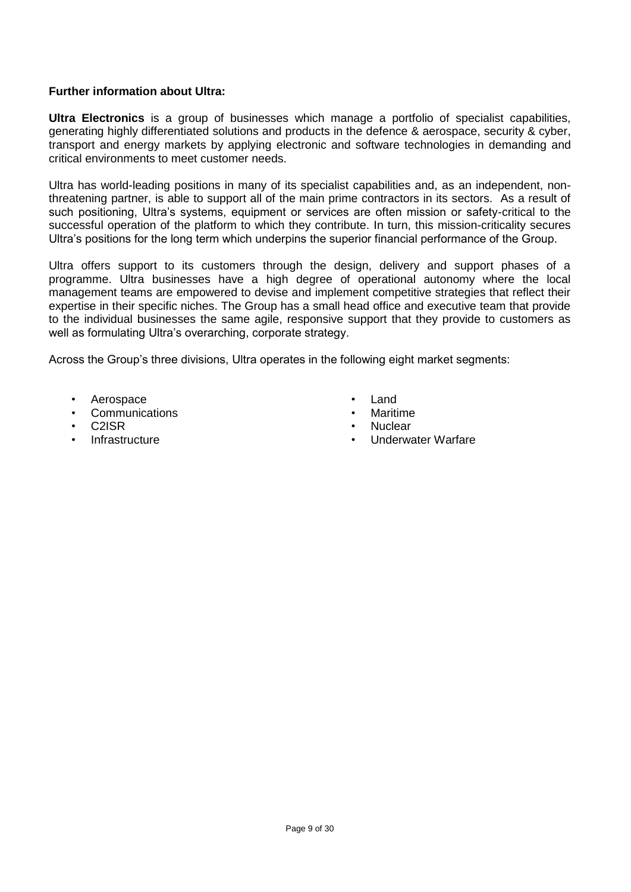# **Further information about Ultra:**

**Ultra Electronics** is a group of businesses which manage a portfolio of specialist capabilities, generating highly differentiated solutions and products in the defence & aerospace, security & cyber, transport and energy markets by applying electronic and software technologies in demanding and critical environments to meet customer needs.

Ultra has world-leading positions in many of its specialist capabilities and, as an independent, nonthreatening partner, is able to support all of the main prime contractors in its sectors. As a result of such positioning, Ultra's systems, equipment or services are often mission or safety-critical to the successful operation of the platform to which they contribute. In turn, this mission-criticality secures Ultra's positions for the long term which underpins the superior financial performance of the Group.

Ultra offers support to its customers through the design, delivery and support phases of a programme. Ultra businesses have a high degree of operational autonomy where the local management teams are empowered to devise and implement competitive strategies that reflect their expertise in their specific niches. The Group has a small head office and executive team that provide to the individual businesses the same agile, responsive support that they provide to customers as well as formulating Ultra's overarching, corporate strategy.

Across the Group's three divisions, Ultra operates in the following eight market segments:

- Aerospace
- **Communications**
- C2ISR
- **Infrastructure**
- Land
- **Maritime**
- Nuclear
- Underwater Warfare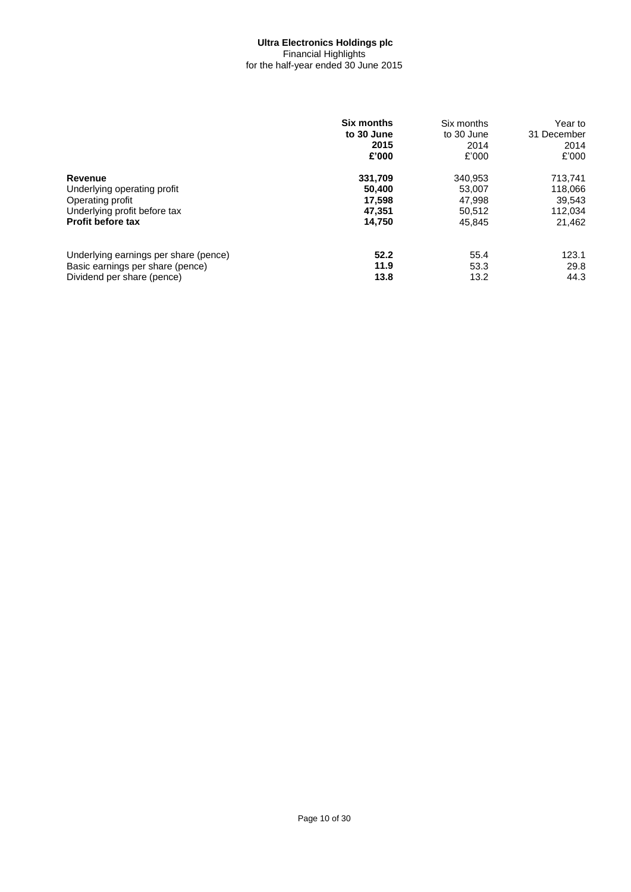## **Ultra Electronics Holdings plc** Financial Highlights for the half-year ended 30 June 2015

|                                       | <b>Six months</b><br>to 30 June<br>2015<br>£'000 | Six months<br>to 30 June<br>2014<br>£'000 | Year to<br>31 December<br>2014<br>£'000 |
|---------------------------------------|--------------------------------------------------|-------------------------------------------|-----------------------------------------|
| Revenue                               | 331,709                                          | 340.953                                   | 713,741                                 |
| Underlying operating profit           | 50,400                                           | 53,007                                    | 118,066                                 |
| Operating profit                      | 17.598                                           | 47,998                                    | 39.543                                  |
| Underlying profit before tax          | 47.351                                           | 50,512                                    | 112,034                                 |
| <b>Profit before tax</b>              | 14,750                                           | 45.845                                    | 21.462                                  |
| Underlying earnings per share (pence) | 52.2                                             | 55.4                                      | 123.1                                   |
| Basic earnings per share (pence)      | 11.9                                             | 53.3                                      | 29.8                                    |
| Dividend per share (pence)            | 13.8                                             | 13.2                                      | 44.3                                    |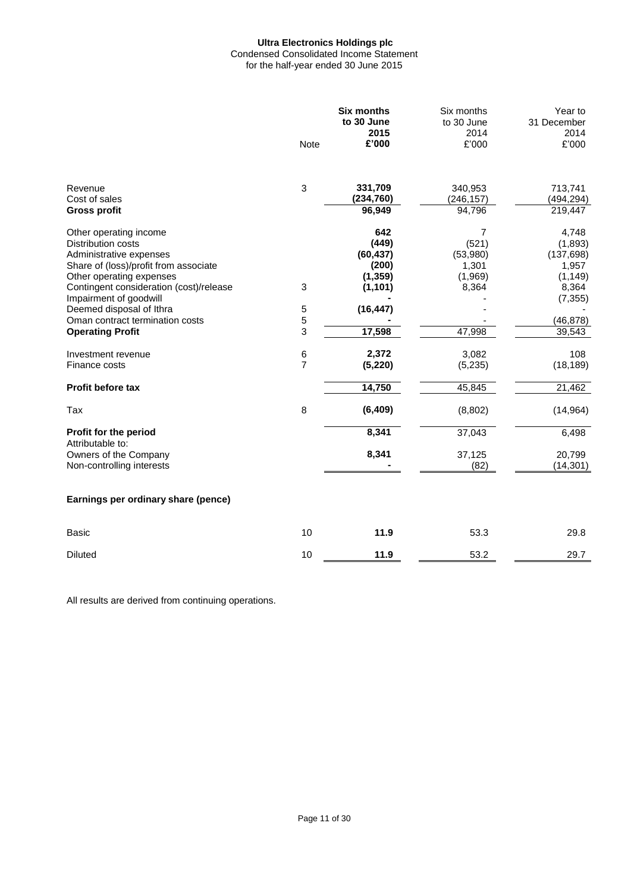# **Ultra Electronics Holdings plc** Condensed Consolidated Income Statement

for the half-year ended 30 June 2015

|                                                                                                                                                                                                                                                                                                             | <b>Note</b>         | <b>Six months</b><br>to 30 June<br>2015<br>£'000                                  | Six months<br>to 30 June<br>2014<br>£'000                     | Year to<br>31 December<br>2014<br>£'000                                                         |
|-------------------------------------------------------------------------------------------------------------------------------------------------------------------------------------------------------------------------------------------------------------------------------------------------------------|---------------------|-----------------------------------------------------------------------------------|---------------------------------------------------------------|-------------------------------------------------------------------------------------------------|
| Revenue<br>Cost of sales<br><b>Gross profit</b>                                                                                                                                                                                                                                                             | 3                   | 331,709<br>(234, 760)<br>96,949                                                   | 340,953<br>(246, 157)<br>94,796                               | 713,741<br>(494, 294)<br>219,447                                                                |
| Other operating income<br>Distribution costs<br>Administrative expenses<br>Share of (loss)/profit from associate<br>Other operating expenses<br>Contingent consideration (cost)/release<br>Impairment of goodwill<br>Deemed disposal of Ithra<br>Oman contract termination costs<br><b>Operating Profit</b> | 3<br>5<br>5<br>3    | 642<br>(449)<br>(60, 437)<br>(200)<br>(1, 359)<br>(1, 101)<br>(16, 447)<br>17,598 | 7<br>(521)<br>(53,980)<br>1,301<br>(1,969)<br>8,364<br>47,998 | 4,748<br>(1,893)<br>(137, 698)<br>1,957<br>(1, 149)<br>8,364<br>(7, 355)<br>(46, 878)<br>39,543 |
| Investment revenue<br>Finance costs                                                                                                                                                                                                                                                                         | 6<br>$\overline{7}$ | 2,372<br>(5, 220)                                                                 | 3,082<br>(5,235)                                              | 108<br>(18, 189)                                                                                |
| Profit before tax                                                                                                                                                                                                                                                                                           |                     | 14,750                                                                            | 45,845                                                        | 21,462                                                                                          |
| Tax                                                                                                                                                                                                                                                                                                         | 8                   | (6, 409)                                                                          | (8,802)                                                       | (14, 964)                                                                                       |
| Profit for the period<br>Attributable to:<br>Owners of the Company<br>Non-controlling interests                                                                                                                                                                                                             |                     | 8,341<br>8,341                                                                    | 37,043<br>37,125<br>(82)                                      | 6,498<br>20,799<br>(14, 301)                                                                    |
| Earnings per ordinary share (pence)                                                                                                                                                                                                                                                                         |                     |                                                                                   |                                                               |                                                                                                 |
| <b>Basic</b>                                                                                                                                                                                                                                                                                                | 10                  | 11.9                                                                              | 53.3                                                          | 29.8                                                                                            |
| <b>Diluted</b>                                                                                                                                                                                                                                                                                              | 10                  | 11.9                                                                              | 53.2                                                          | 29.7                                                                                            |

All results are derived from continuing operations.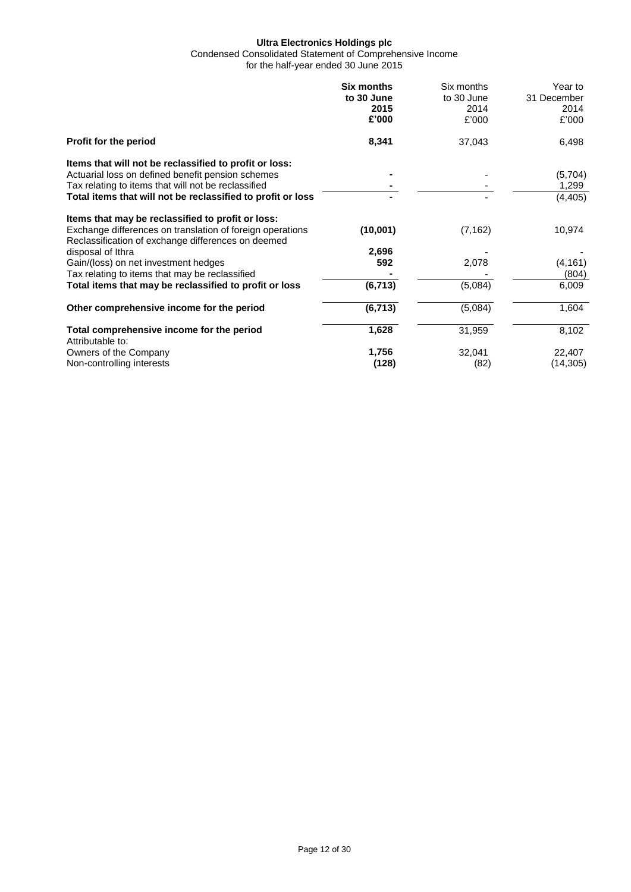Condensed Consolidated Statement of Comprehensive Income

for the half-year ended 30 June 2015

|                                                                                                                 | <b>Six months</b><br>to 30 June<br>2015<br>£'000 | Six months<br>to 30 June<br>2014<br>£'000 | Year to<br>31 December<br>2014<br>£'000 |
|-----------------------------------------------------------------------------------------------------------------|--------------------------------------------------|-------------------------------------------|-----------------------------------------|
| Profit for the period                                                                                           | 8,341                                            | 37,043                                    | 6,498                                   |
| Items that will not be reclassified to profit or loss:                                                          |                                                  |                                           |                                         |
| Actuarial loss on defined benefit pension schemes                                                               |                                                  |                                           | (5,704)                                 |
| Tax relating to items that will not be reclassified                                                             |                                                  |                                           | 1,299                                   |
| Total items that will not be reclassified to profit or loss                                                     |                                                  |                                           | (4, 405)                                |
| Items that may be reclassified to profit or loss:                                                               |                                                  |                                           |                                         |
| Exchange differences on translation of foreign operations<br>Reclassification of exchange differences on deemed | (10,001)                                         | (7, 162)                                  | 10,974                                  |
| disposal of Ithra                                                                                               | 2,696                                            |                                           |                                         |
| Gain/(loss) on net investment hedges                                                                            | 592                                              | 2,078                                     | (4, 161)                                |
| Tax relating to items that may be reclassified                                                                  |                                                  |                                           | (804)                                   |
| Total items that may be reclassified to profit or loss                                                          | (6, 713)                                         | (5,084)                                   | 6,009                                   |
| Other comprehensive income for the period                                                                       | (6, 713)                                         | (5,084)                                   | 1,604                                   |
| Total comprehensive income for the period<br>Attributable to:                                                   | 1,628                                            | 31,959                                    | 8,102                                   |
| Owners of the Company                                                                                           | 1,756                                            | 32,041                                    | 22,407                                  |
| Non-controlling interests                                                                                       | (128)                                            | (82)                                      | (14, 305)                               |
|                                                                                                                 |                                                  |                                           |                                         |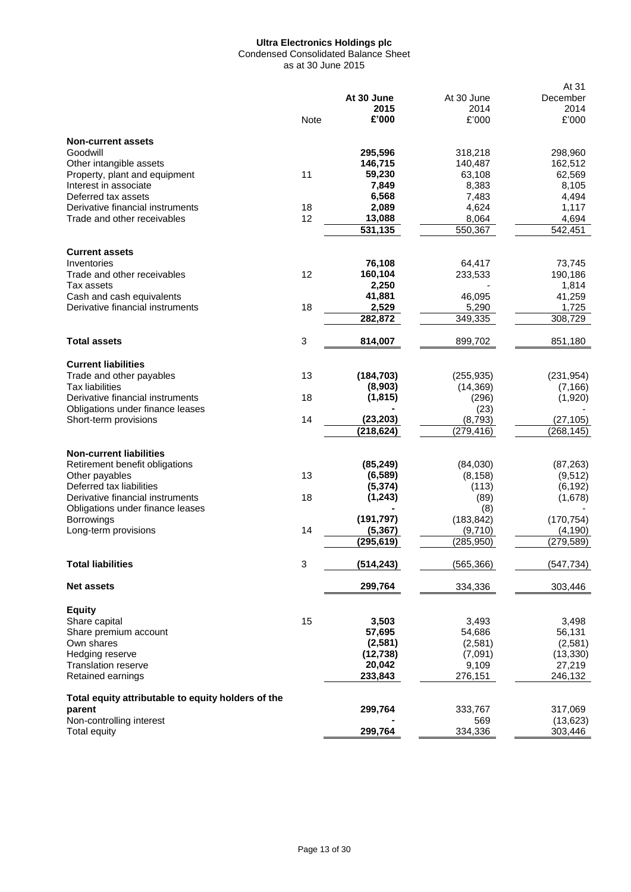Condensed Consolidated Balance Sheet as at 30 June 2015

|                                                    |             |            |            | At 31      |
|----------------------------------------------------|-------------|------------|------------|------------|
|                                                    |             | At 30 June | At 30 June | December   |
|                                                    |             | 2015       | 2014       | 2014       |
|                                                    | <b>Note</b> | £'000      | £'000      | £'000      |
| <b>Non-current assets</b>                          |             |            |            |            |
| Goodwill                                           |             | 295,596    | 318,218    | 298,960    |
| Other intangible assets                            |             | 146,715    | 140,487    | 162,512    |
| Property, plant and equipment                      | 11          | 59,230     | 63,108     | 62,569     |
| Interest in associate                              |             | 7,849      | 8,383      | 8,105      |
| Deferred tax assets                                |             | 6,568      | 7,483      | 4,494      |
| Derivative financial instruments                   | 18          | 2,089      | 4,624      | 1,117      |
| Trade and other receivables                        | 12          | 13,088     |            | 4,694      |
|                                                    |             | 531,135    | 8,064      |            |
|                                                    |             |            | 550,367    | 542,451    |
| <b>Current assets</b>                              |             |            |            |            |
| Inventories                                        |             | 76,108     | 64,417     | 73,745     |
| Trade and other receivables                        | 12          | 160,104    | 233,533    | 190,186    |
| Tax assets                                         |             | 2,250      |            | 1,814      |
| Cash and cash equivalents                          |             | 41,881     | 46,095     | 41,259     |
| Derivative financial instruments                   | 18          | 2,529      | 5,290      | 1,725      |
|                                                    |             | 282,872    | 349,335    | 308,729    |
| <b>Total assets</b>                                | 3           | 814,007    | 899,702    | 851,180    |
|                                                    |             |            |            |            |
| <b>Current liabilities</b>                         |             |            |            |            |
| Trade and other payables                           | 13          | (184, 703) | (255, 935) | (231, 954) |
| <b>Tax liabilities</b>                             |             | (8,903)    | (14, 369)  | (7, 166)   |
| Derivative financial instruments                   | 18          | (1, 815)   | (296)      | (1,920)    |
| Obligations under finance leases                   |             |            | (23)       |            |
| Short-term provisions                              | 14          | (23, 203)  | (8,793)    | (27, 105)  |
|                                                    |             | (218, 624) | (279, 416) | (268, 145) |
| <b>Non-current liabilities</b>                     |             |            |            |            |
| Retirement benefit obligations                     |             | (85, 249)  | (84,030)   | (87, 263)  |
| Other payables                                     | 13          | (6, 589)   | (8, 158)   | (9, 512)   |
| Deferred tax liabilities                           |             | (5, 374)   | (113)      | (6, 192)   |
| Derivative financial instruments                   | 18          | (1, 243)   | (89)       | (1,678)    |
| Obligations under finance leases                   |             |            | (8)        |            |
| <b>Borrowings</b>                                  |             | (191, 797) | (183, 842) | (170, 754) |
| Long-term provisions                               | 14          | (5, 367)   | (9,710)    | (4, 190)   |
|                                                    |             | (295,619)  | (285, 950) | (279, 589) |
| <b>Total liabilities</b>                           | 3           | (514, 243) | (565, 366) | (547, 734) |
|                                                    |             |            |            |            |
| <b>Net assets</b>                                  |             | 299,764    | 334,336    | 303,446    |
| <b>Equity</b>                                      |             |            |            |            |
| Share capital                                      | 15          | 3,503      | 3,493      | 3,498      |
| Share premium account                              |             | 57,695     | 54,686     | 56,131     |
| Own shares                                         |             | (2, 581)   | (2,581)    | (2,581)    |
| Hedging reserve                                    |             | (12, 738)  | (7,091)    | (13, 330)  |
| <b>Translation reserve</b>                         |             | 20,042     | 9,109      | 27,219     |
| Retained earnings                                  |             | 233,843    | 276,151    | 246,132    |
| Total equity attributable to equity holders of the |             |            |            |            |
| parent                                             |             | 299,764    | 333,767    | 317,069    |
| Non-controlling interest                           |             |            | 569        | (13, 623)  |
| <b>Total equity</b>                                |             | 299,764    | 334,336    | 303,446    |
|                                                    |             |            |            |            |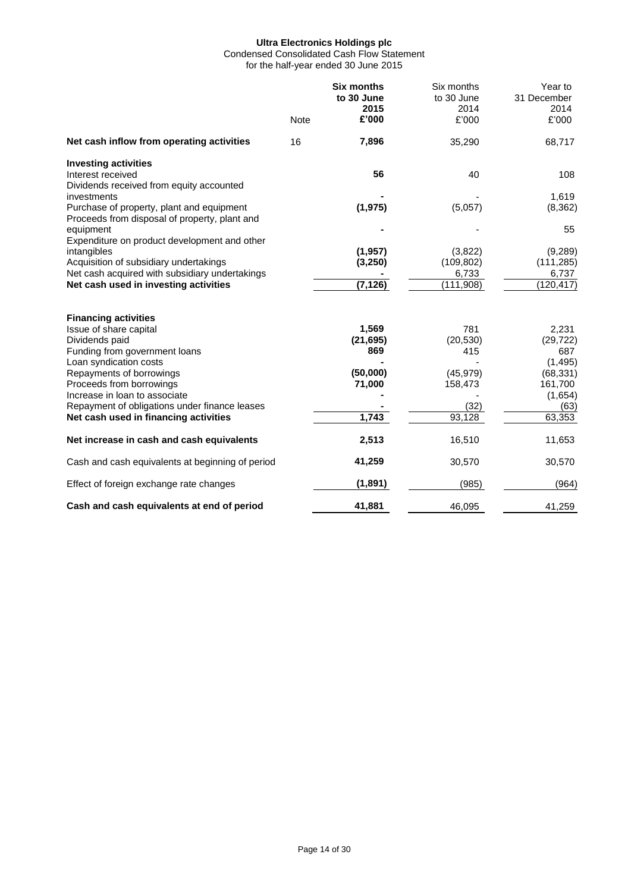Condensed Consolidated Cash Flow Statement for the half-year ended 30 June 2015

|                                                                                                                                                  | <b>Note</b> | <b>Six months</b><br>to 30 June<br>2015<br>£'000 | Six months<br>to 30 June<br>2014<br>£'000   | Year to<br>31 December<br>2014<br>£'000      |
|--------------------------------------------------------------------------------------------------------------------------------------------------|-------------|--------------------------------------------------|---------------------------------------------|----------------------------------------------|
| Net cash inflow from operating activities                                                                                                        | 16          | 7,896                                            | 35,290                                      | 68,717                                       |
| <b>Investing activities</b><br>Interest received<br>Dividends received from equity accounted                                                     |             | 56                                               | 40                                          | 108                                          |
| investments<br>Purchase of property, plant and equipment<br>Proceeds from disposal of property, plant and                                        |             | (1, 975)                                         | (5,057)                                     | 1,619<br>(8, 362)                            |
| equipment<br>Expenditure on product development and other                                                                                        |             |                                                  |                                             | 55                                           |
| intangibles<br>Acquisition of subsidiary undertakings<br>Net cash acquired with subsidiary undertakings<br>Net cash used in investing activities |             | (1, 957)<br>(3,250)<br>(7, 126)                  | (3,822)<br>(109, 802)<br>6,733<br>(111,908) | (9,289)<br>(111, 285)<br>6,737<br>(120, 417) |
| <b>Financing activities</b>                                                                                                                      |             |                                                  |                                             |                                              |
| Issue of share capital<br>Dividends paid<br>Funding from government loans                                                                        |             | 1,569<br>(21, 695)<br>869                        | 781<br>(20, 530)<br>415                     | 2,231<br>(29, 722)<br>687                    |
| Loan syndication costs<br>Repayments of borrowings<br>Proceeds from borrowings<br>Increase in loan to associate                                  |             | (50,000)<br>71,000                               | (45, 979)<br>158,473                        | (1, 495)<br>(68, 331)<br>161,700<br>(1,654)  |
| Repayment of obligations under finance leases<br>Net cash used in financing activities                                                           |             | 1,743                                            | (32)<br>93,128                              | (63)<br>$\overline{6}3,353$                  |
| Net increase in cash and cash equivalents                                                                                                        |             | 2,513                                            | 16,510                                      | 11,653                                       |
| Cash and cash equivalents at beginning of period                                                                                                 |             | 41,259                                           | 30,570                                      | 30,570                                       |
| Effect of foreign exchange rate changes                                                                                                          |             | (1,891)                                          | (985)                                       | (964)                                        |
| Cash and cash equivalents at end of period                                                                                                       |             | 41,881                                           | 46,095                                      | 41,259                                       |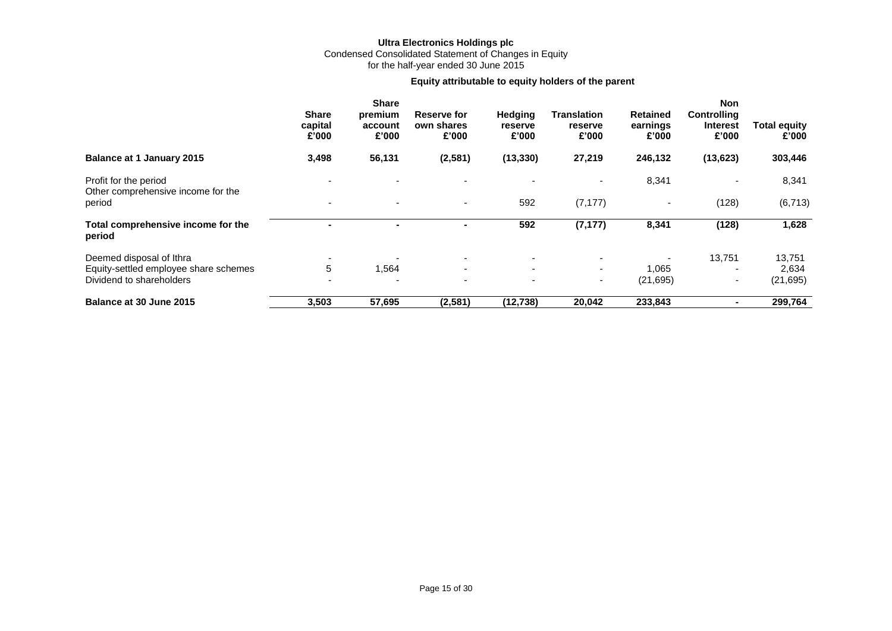## **Ultra Electronics Holdings plc** Condensed Consolidated Statement of Changes in Equity for the half-year ended 30 June 2015

# **Equity attributable to equity holders of the parent**

|                                                             | <b>Share</b><br>capital<br>£'000 | <b>Share</b><br>premium<br>account<br>£'000 | <b>Reserve for</b><br>own shares<br>£'000 | Hedging<br>reserve<br>£'000 | Translation<br>reserve<br>£'000 | <b>Retained</b><br>earnings<br>£'000 | <b>Non</b><br>Controlling<br><b>Interest</b><br>£'000 | <b>Total equity</b><br>£'000 |
|-------------------------------------------------------------|----------------------------------|---------------------------------------------|-------------------------------------------|-----------------------------|---------------------------------|--------------------------------------|-------------------------------------------------------|------------------------------|
| <b>Balance at 1 January 2015</b>                            | 3,498                            | 56,131                                      | (2,581)                                   | (13, 330)                   | 27,219                          | 246,132                              | (13, 623)                                             | 303,446                      |
| Profit for the period<br>Other comprehensive income for the |                                  |                                             |                                           |                             | $\overline{\phantom{0}}$        | 8,341                                | $\overline{\phantom{0}}$                              | 8,341                        |
| period                                                      | $\overline{\phantom{a}}$         | $\sim$                                      | $\sim$                                    | 592                         | (7, 177)                        | $\blacksquare$                       | (128)                                                 | (6, 713)                     |
| Total comprehensive income for the<br>period                | -                                | $\blacksquare$                              | $\blacksquare$                            | 592                         | (7, 177)                        | 8,341                                | (128)                                                 | 1,628                        |
| Deemed disposal of Ithra                                    |                                  |                                             | ۰.                                        | $\overline{\phantom{0}}$    | $\overline{\phantom{0}}$        |                                      | 13,751                                                | 13,751                       |
| Equity-settled employee share schemes                       | 5                                | 1,564                                       | ۰.                                        | $\overline{\phantom{0}}$    | $\sim$                          | 1,065                                |                                                       | 2,634                        |
| Dividend to shareholders                                    |                                  |                                             | $\overline{\phantom{a}}$                  | $\overline{\phantom{0}}$    | $\sim$                          | (21, 695)                            | ٠                                                     | (21, 695)                    |
| Balance at 30 June 2015                                     | 3,503                            | 57,695                                      | (2,581)                                   | (12, 738)                   | 20,042                          | 233,843                              |                                                       | 299,764                      |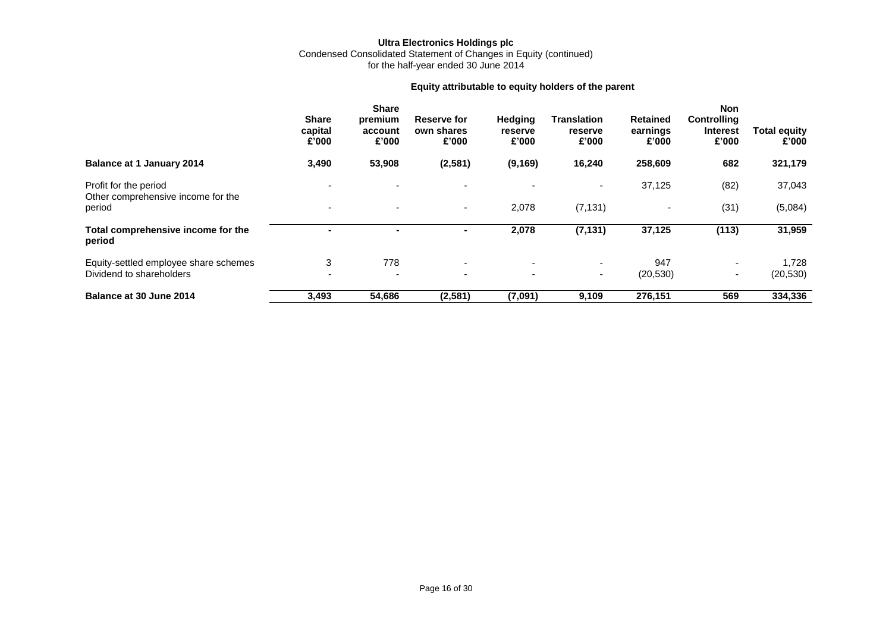# **Ultra Electronics Holdings plc** Condensed Consolidated Statement of Changes in Equity (continued)

for the half-year ended 30 June 2014

# **Equity attributable to equity holders of the parent**

|                                                             | <b>Share</b><br>capital<br>£'000 | <b>Share</b><br>premium<br>account<br>£'000 | Reserve for<br>own shares<br>£'000 | Hedging<br>reserve<br>£'000 | <b>Translation</b><br>reserve<br>£'000 | <b>Retained</b><br>earnings<br>£'000 | <b>Non</b><br>Controlling<br><b>Interest</b><br>£'000 | <b>Total equity</b><br>£'000 |
|-------------------------------------------------------------|----------------------------------|---------------------------------------------|------------------------------------|-----------------------------|----------------------------------------|--------------------------------------|-------------------------------------------------------|------------------------------|
| <b>Balance at 1 January 2014</b>                            | 3,490                            | 53,908                                      | (2, 581)                           | (9, 169)                    | 16,240                                 | 258,609                              | 682                                                   | 321,179                      |
| Profit for the period<br>Other comprehensive income for the | $\overline{\phantom{0}}$         | $\overline{\phantom{0}}$                    |                                    |                             | ٠                                      | 37,125                               | (82)                                                  | 37,043                       |
| period                                                      | $\overline{\phantom{0}}$         | $\overline{\phantom{a}}$                    | $\sim$                             | 2,078                       | (7, 131)                               | $\overline{\phantom{a}}$             | (31)                                                  | (5,084)                      |
| Total comprehensive income for the<br>period                |                                  | $\blacksquare$                              | $\blacksquare$                     | 2,078                       | (7, 131)                               | 37,125                               | (113)                                                 | 31,959                       |
| Equity-settled employee share schemes                       | 3                                | 778                                         | $\sim$                             | $\overline{\phantom{0}}$    | ۰.                                     | 947                                  | $\overline{a}$                                        | 1,728                        |
| Dividend to shareholders                                    | $\overline{\phantom{0}}$         | $\overline{\phantom{0}}$                    | $\overline{\phantom{a}}$           | $\overline{\phantom{0}}$    | $\sim$                                 | (20, 530)                            | $\overline{\phantom{a}}$                              | (20, 530)                    |
| Balance at 30 June 2014                                     | 3,493                            | 54,686                                      | (2, 581)                           | (7,091)                     | 9,109                                  | 276,151                              | 569                                                   | 334,336                      |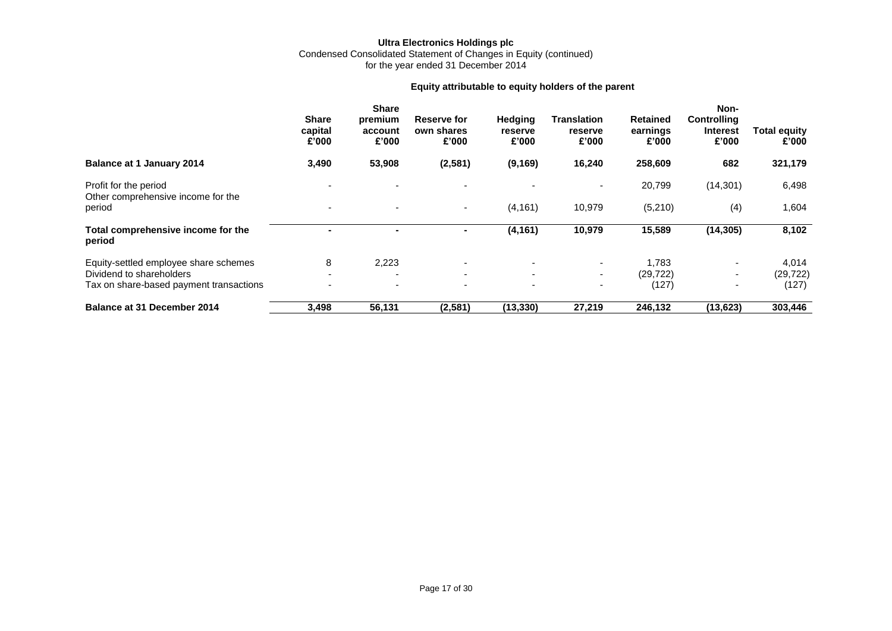## **Ultra Electronics Holdings plc** Condensed Consolidated Statement of Changes in Equity (continued) for the year ended 31 December 2014

# **Equity attributable to equity holders of the parent**

|                                                             | <b>Share</b><br>capital<br>£'000 | <b>Share</b><br>premium<br>account<br>£'000 | <b>Reserve for</b><br>own shares<br>£'000 | <b>Hedging</b><br>reserve<br>£'000 | Translation<br>reserve<br>£'000 | <b>Retained</b><br>earnings<br>£'000 | Non-<br><b>Controlling</b><br><b>Interest</b><br>£'000 | <b>Total equity</b><br>£'000 |
|-------------------------------------------------------------|----------------------------------|---------------------------------------------|-------------------------------------------|------------------------------------|---------------------------------|--------------------------------------|--------------------------------------------------------|------------------------------|
| <b>Balance at 1 January 2014</b>                            | 3,490                            | 53,908                                      | (2, 581)                                  | (9, 169)                           | 16,240                          | 258,609                              | 682                                                    | 321,179                      |
| Profit for the period<br>Other comprehensive income for the |                                  |                                             |                                           |                                    | $\overline{\phantom{0}}$        | 20,799                               | (14, 301)                                              | 6,498                        |
| period                                                      | $\overline{\phantom{a}}$         | $\overline{\phantom{a}}$                    | $\sim$                                    | (4, 161)                           | 10,979                          | (5,210)                              | (4)                                                    | 1,604                        |
| Total comprehensive income for the<br>period                |                                  | $\blacksquare$                              | ۰                                         | (4, 161)                           | 10,979                          | 15,589                               | (14, 305)                                              | 8,102                        |
| Equity-settled employee share schemes                       | 8                                | 2,223                                       | $\overline{\phantom{a}}$                  |                                    | $\sim$                          | 1.783                                | $\sim$                                                 | 4,014                        |
| Dividend to shareholders                                    |                                  |                                             | ۰.                                        | ۰                                  | $\sim$                          | (29, 722)                            | $\overline{\phantom{0}}$                               | (29, 722)                    |
| Tax on share-based payment transactions                     |                                  | $\overline{\phantom{a}}$                    | $\overline{\phantom{a}}$                  | ٠                                  | $\overline{\phantom{a}}$        | (127)                                |                                                        | (127)                        |
| <b>Balance at 31 December 2014</b>                          | 3,498                            | 56,131                                      | (2,581)                                   | (13, 330)                          | 27,219                          | 246,132                              | (13, 623)                                              | 303,446                      |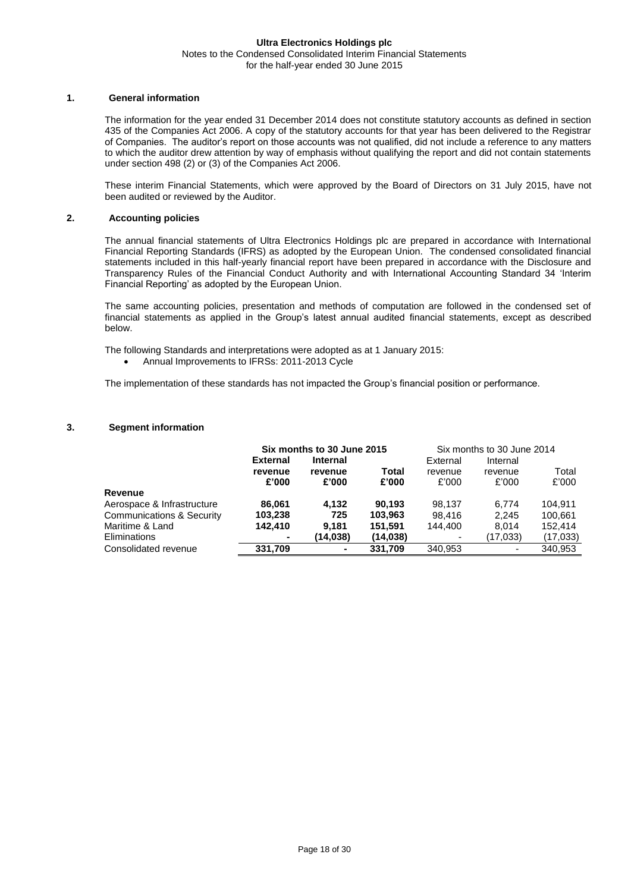## **Ultra Electronics Holdings plc** Notes to the Condensed Consolidated Interim Financial Statements for the half-year ended 30 June 2015

## **1. General information**

The information for the year ended 31 December 2014 does not constitute statutory accounts as defined in section 435 of the Companies Act 2006. A copy of the statutory accounts for that year has been delivered to the Registrar of Companies. The auditor's report on those accounts was not qualified, did not include a reference to any matters to which the auditor drew attention by way of emphasis without qualifying the report and did not contain statements under section 498 (2) or (3) of the Companies Act 2006.

These interim Financial Statements, which were approved by the Board of Directors on 31 July 2015, have not been audited or reviewed by the Auditor.

## **2. Accounting policies**

The annual financial statements of Ultra Electronics Holdings plc are prepared in accordance with International Financial Reporting Standards (IFRS) as adopted by the European Union. The condensed consolidated financial statements included in this half-yearly financial report have been prepared in accordance with the Disclosure and Transparency Rules of the Financial Conduct Authority and with International Accounting Standard 34 'Interim Financial Reporting' as adopted by the European Union.

The same accounting policies, presentation and methods of computation are followed in the condensed set of financial statements as applied in the Group's latest annual audited financial statements, except as described below.

The following Standards and interpretations were adopted as at 1 January 2015:

Annual Improvements to IFRSs: 2011-2013 Cycle

The implementation of these standards has not impacted the Group's financial position or performance.

## **3. Segment information**

|                            |                 | Six months to 30 June 2015 |           |          | Six months to 30 June 2014 |          |
|----------------------------|-----------------|----------------------------|-----------|----------|----------------------------|----------|
|                            | <b>External</b> | <b>Internal</b>            |           | External | Internal                   |          |
|                            | revenue         | revenue                    | Total     | revenue  | revenue                    | Total    |
|                            | £'000           | £'000                      | £'000     | £'000    | £'000                      | £'000    |
| Revenue                    |                 |                            |           |          |                            |          |
| Aerospace & Infrastructure | 86.061          | 4.132                      | 90.193    | 98.137   | 6.774                      | 104.911  |
| Communications & Security  | 103,238         | 725                        | 103.963   | 98.416   | 2.245                      | 100,661  |
| Maritime & Land            | 142.410         | 9.181                      | 151.591   | 144,400  | 8.014                      | 152.414  |
| Eliminations               |                 | (14,038)                   | (14, 038) |          | (17,033)                   | (17,033) |
| Consolidated revenue       | 331,709         | ۰                          | 331.709   | 340.953  |                            | 340,953  |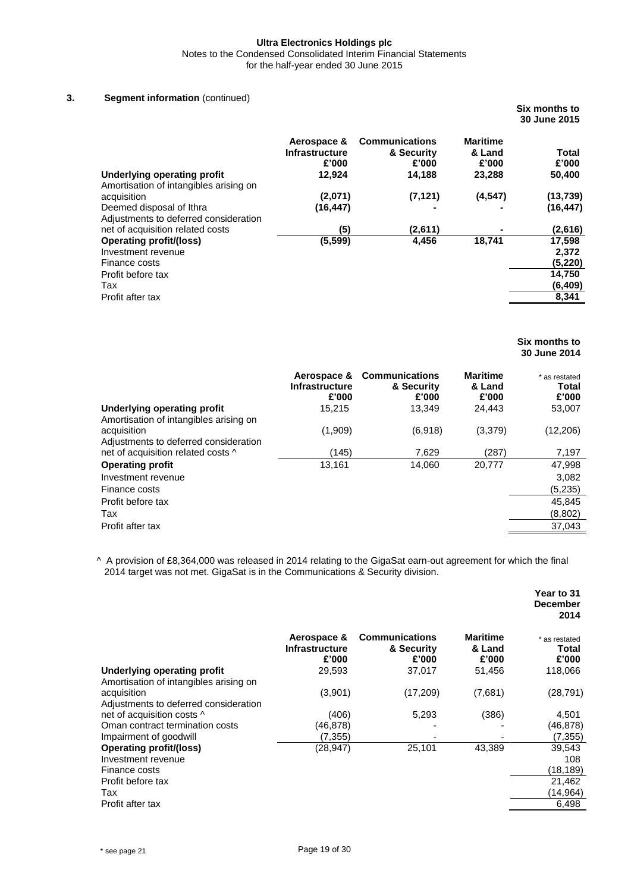Notes to the Condensed Consolidated Interim Financial Statements

for the half-year ended 30 June 2015

## **3. Segment information** (continued)

|                                                                                                                                                           |                                                  |                                                        |                                              | Six months to<br>30 June 2015                                         |
|-----------------------------------------------------------------------------------------------------------------------------------------------------------|--------------------------------------------------|--------------------------------------------------------|----------------------------------------------|-----------------------------------------------------------------------|
| Underlying operating profit                                                                                                                               | Aerospace &<br>Infrastructure<br>£'000<br>12,924 | <b>Communications</b><br>& Security<br>£'000<br>14,188 | <b>Maritime</b><br>& Land<br>£'000<br>23,288 | Total<br>£'000<br>50,400                                              |
| Amortisation of intangibles arising on<br>acquisition<br>Deemed disposal of Ithra<br>Adjustments to deferred consideration                                | (2,071)<br>(16, 447)                             | (7, 121)                                               | (4, 547)                                     | (13, 739)<br>(16, 447)                                                |
| net of acquisition related costs<br><b>Operating profit/(loss)</b><br>Investment revenue<br>Finance costs<br>Profit before tax<br>Tax<br>Profit after tax | (5)<br>(5, 599)                                  | (2,611)<br>4,456                                       | 18,741                                       | (2,616)<br>17,598<br>2,372<br>(5, 220)<br>14,750<br>(6, 409)<br>8,341 |

## **Six months to 30 June 2014**

| Underlying operating profit<br>15.215<br>13.349<br>24.443<br>53,007<br>Amortisation of intangibles arising on<br>(1,909)<br>(6,918)<br>(3,379)<br>(12, 206)<br>acquisition<br>Adjustments to deferred consideration<br>net of acquisition related costs ^<br>(145)<br>7.629<br>(287)<br>7,197<br><b>Operating profit</b><br>13,161<br>14,060<br>20.777<br>47,998<br>3,082<br>Investment revenue<br>(5,235)<br>Finance costs<br>Profit before tax<br>45,845<br>(8,802)<br>Tax |                  | <b>Infrastructure</b><br>£'000 | Aerospace & Communications<br>& Security<br>£'000 | <b>Maritime</b><br>& Land<br>£'000 | * as restated<br>Total<br>£'000 |
|------------------------------------------------------------------------------------------------------------------------------------------------------------------------------------------------------------------------------------------------------------------------------------------------------------------------------------------------------------------------------------------------------------------------------------------------------------------------------|------------------|--------------------------------|---------------------------------------------------|------------------------------------|---------------------------------|
|                                                                                                                                                                                                                                                                                                                                                                                                                                                                              |                  |                                |                                                   |                                    |                                 |
|                                                                                                                                                                                                                                                                                                                                                                                                                                                                              |                  |                                |                                                   |                                    |                                 |
|                                                                                                                                                                                                                                                                                                                                                                                                                                                                              |                  |                                |                                                   |                                    |                                 |
|                                                                                                                                                                                                                                                                                                                                                                                                                                                                              |                  |                                |                                                   |                                    |                                 |
|                                                                                                                                                                                                                                                                                                                                                                                                                                                                              |                  |                                |                                                   |                                    |                                 |
|                                                                                                                                                                                                                                                                                                                                                                                                                                                                              |                  |                                |                                                   |                                    |                                 |
|                                                                                                                                                                                                                                                                                                                                                                                                                                                                              |                  |                                |                                                   |                                    |                                 |
|                                                                                                                                                                                                                                                                                                                                                                                                                                                                              |                  |                                |                                                   |                                    |                                 |
|                                                                                                                                                                                                                                                                                                                                                                                                                                                                              | Profit after tax |                                |                                                   |                                    | 37,043                          |

^ A provision of £8,364,000 was released in 2014 relating to the GigaSat earn-out agreement for which the final 2014 target was not met. GigaSat is in the Communications & Security division.

|                                                                       |                                               |                                              |                                    | Year to 31<br><b>December</b><br>2014 |
|-----------------------------------------------------------------------|-----------------------------------------------|----------------------------------------------|------------------------------------|---------------------------------------|
|                                                                       | Aerospace &<br><b>Infrastructure</b><br>£'000 | <b>Communications</b><br>& Security<br>£'000 | <b>Maritime</b><br>& Land<br>£'000 | * as restated<br>Total<br>£'000       |
| Underlying operating profit<br>Amortisation of intangibles arising on | 29,593                                        | 37,017                                       | 51,456                             | 118,066                               |
| acquisition<br>Adjustments to deferred consideration                  | (3,901)                                       | (17,209)                                     | (7,681)                            | (28, 791)                             |
| net of acquisition costs ^                                            | (406)                                         | 5,293                                        | (386)                              | 4,501                                 |
| Oman contract termination costs                                       | (46, 878)                                     |                                              |                                    | (46, 878)                             |
| Impairment of goodwill                                                | (7, 355)                                      |                                              |                                    | (7, 355)                              |
| Operating profit/(loss)<br>Investment revenue                         | (28, 947)                                     | 25,101                                       | 43,389                             | 39,543<br>108                         |
| Finance costs                                                         |                                               |                                              |                                    | (18, 189)                             |
| Profit before tax                                                     |                                               |                                              |                                    | 21,462                                |
| Tax                                                                   |                                               |                                              |                                    | (14,964)                              |
| Profit after tax                                                      |                                               |                                              |                                    | 6,498                                 |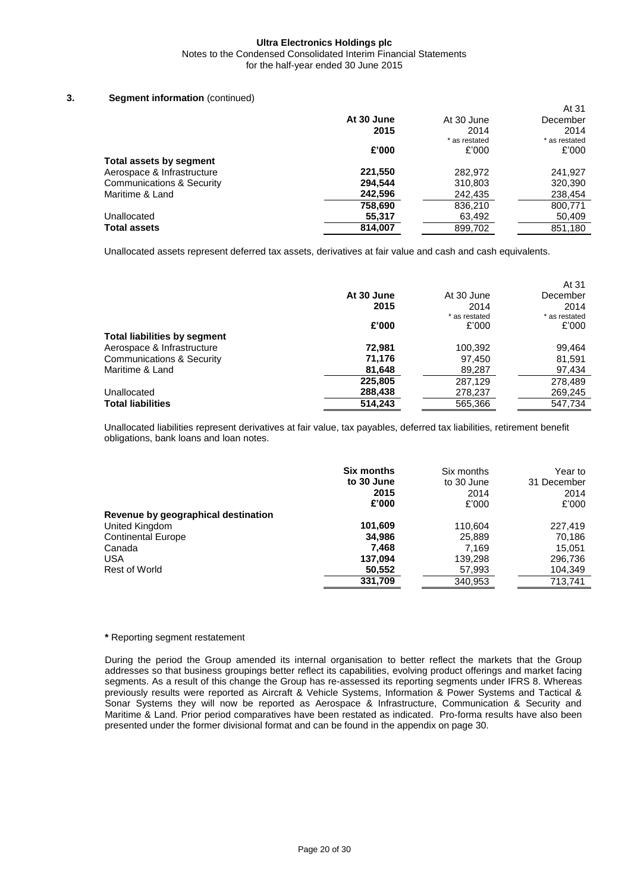Notes to the Condensed Consolidated Interim Financial Statements for the half-year ended 30 June 2015

# **3. Segment information** (continued)

|                                      |            |               | At 31         |
|--------------------------------------|------------|---------------|---------------|
|                                      | At 30 June | At 30 June    | December      |
|                                      | 2015       | 2014          | 2014          |
|                                      |            | * as restated | * as restated |
|                                      | £'000      | £'000         | £'000         |
| Total assets by segment              |            |               |               |
| Aerospace & Infrastructure           | 221,550    | 282,972       | 241.927       |
| <b>Communications &amp; Security</b> | 294,544    | 310,803       | 320,390       |
| Maritime & Land                      | 242,596    | 242,435       | 238,454       |
|                                      | 758,690    | 836,210       | 800,771       |
| Unallocated                          | 55,317     | 63,492        | 50,409        |
| <b>Total assets</b>                  | 814,007    | 899,702       | 851,180       |

Unallocated assets represent deferred tax assets, derivatives at fair value and cash and cash equivalents.

|                                      |            |               | At 31         |
|--------------------------------------|------------|---------------|---------------|
|                                      | At 30 June | At 30 June    | December      |
|                                      | 2015       | 2014          | 2014          |
|                                      |            | * as restated | * as restated |
|                                      | £'000      | £'000         | £'000         |
| <b>Total liabilities by segment</b>  |            |               |               |
| Aerospace & Infrastructure           | 72,981     | 100,392       | 99,464        |
| <b>Communications &amp; Security</b> | 71,176     | 97,450        | 81,591        |
| Maritime & Land                      | 81,648     | 89,287        | 97,434        |
|                                      | 225,805    | 287.129       | 278,489       |
| Unallocated                          | 288,438    | 278,237       | 269,245       |
| <b>Total liabilities</b>             | 514,243    | 565,366       | 547,734       |

Unallocated liabilities represent derivatives at fair value, tax payables, deferred tax liabilities, retirement benefit obligations, bank loans and loan notes.

|                                     | <b>Six months</b><br>to 30 June<br>2015<br>£'000 | Six months<br>to 30 June<br>2014<br>£'000 | Year to<br>31 December<br>2014<br>£'000 |
|-------------------------------------|--------------------------------------------------|-------------------------------------------|-----------------------------------------|
| Revenue by geographical destination |                                                  |                                           |                                         |
| United Kingdom                      | 101,609                                          | 110.604                                   | 227,419                                 |
| <b>Continental Europe</b>           | 34,986                                           | 25,889                                    | 70.186                                  |
| Canada                              | 7.468                                            | 7.169                                     | 15,051                                  |
| <b>USA</b>                          | 137,094                                          | 139,298                                   | 296,736                                 |
| <b>Rest of World</b>                | 50,552                                           | 57,993                                    | 104,349                                 |
|                                     | 331,709                                          | 340,953                                   | 713.741                                 |

#### **\*** Reporting segment restatement

During the period the Group amended its internal organisation to better reflect the markets that the Group addresses so that business groupings better reflect its capabilities, evolving product offerings and market facing segments. As a result of this change the Group has re-assessed its reporting segments under IFRS 8. Whereas previously results were reported as Aircraft & Vehicle Systems, Information & Power Systems and Tactical & Sonar Systems they will now be reported as Aerospace & Infrastructure, Communication & Security and Maritime & Land. Prior period comparatives have been restated as indicated. Pro-forma results have also been presented under the former divisional format and can be found in the appendix on page 30.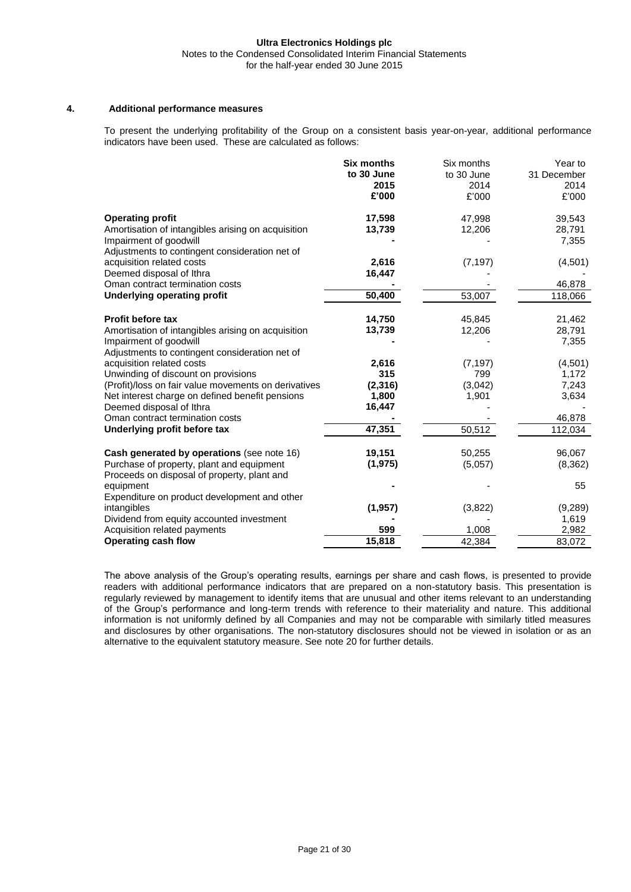# **4. Additional performance measures**

To present the underlying profitability of the Group on a consistent basis year-on-year, additional performance indicators have been used. These are calculated as follows:

|                                                      | <b>Six months</b> | Six months | Year to     |
|------------------------------------------------------|-------------------|------------|-------------|
|                                                      | to 30 June        | to 30 June | 31 December |
|                                                      | 2015              | 2014       | 2014        |
|                                                      | £'000             | £'000      | £'000       |
| <b>Operating profit</b>                              | 17,598            | 47,998     | 39,543      |
| Amortisation of intangibles arising on acquisition   | 13,739            | 12,206     | 28,791      |
| Impairment of goodwill                               |                   |            | 7,355       |
| Adjustments to contingent consideration net of       |                   |            |             |
| acquisition related costs                            | 2,616             | (7, 197)   | (4,501)     |
| Deemed disposal of Ithra                             | 16,447            |            |             |
| Oman contract termination costs                      |                   |            | 46,878      |
| <b>Underlying operating profit</b>                   | 50,400            | 53,007     | 118,066     |
| <b>Profit before tax</b>                             | 14,750            | 45,845     | 21,462      |
| Amortisation of intangibles arising on acquisition   | 13,739            | 12,206     | 28,791      |
| Impairment of goodwill                               |                   |            | 7,355       |
| Adjustments to contingent consideration net of       |                   |            |             |
| acquisition related costs                            | 2,616             | (7, 197)   | (4,501)     |
| Unwinding of discount on provisions                  | 315               | 799        | 1,172       |
| (Profit)/loss on fair value movements on derivatives | (2, 316)          | (3,042)    | 7,243       |
| Net interest charge on defined benefit pensions      | 1,800             | 1,901      | 3,634       |
| Deemed disposal of Ithra                             | 16,447            |            |             |
| Oman contract termination costs                      |                   |            | 46,878      |
| Underlying profit before tax                         | 47,351            | 50,512     | 112,034     |
| Cash generated by operations (see note 16)           | 19,151            | 50,255     | 96,067      |
| Purchase of property, plant and equipment            | (1, 975)          | (5,057)    | (8, 362)    |
| Proceeds on disposal of property, plant and          |                   |            |             |
| equipment                                            |                   |            | 55          |
| Expenditure on product development and other         |                   |            |             |
| intangibles                                          | (1, 957)          | (3,822)    | (9,289)     |
| Dividend from equity accounted investment            |                   |            | 1,619       |
| Acquisition related payments                         | 599               | 1,008      | 2,982       |
| <b>Operating cash flow</b>                           | 15,818            | 42,384     | 83,072      |

The above analysis of the Group's operating results, earnings per share and cash flows, is presented to provide readers with additional performance indicators that are prepared on a non-statutory basis. This presentation is regularly reviewed by management to identify items that are unusual and other items relevant to an understanding of the Group's performance and long-term trends with reference to their materiality and nature. This additional information is not uniformly defined by all Companies and may not be comparable with similarly titled measures and disclosures by other organisations. The non-statutory disclosures should not be viewed in isolation or as an alternative to the equivalent statutory measure. See note 20 for further details.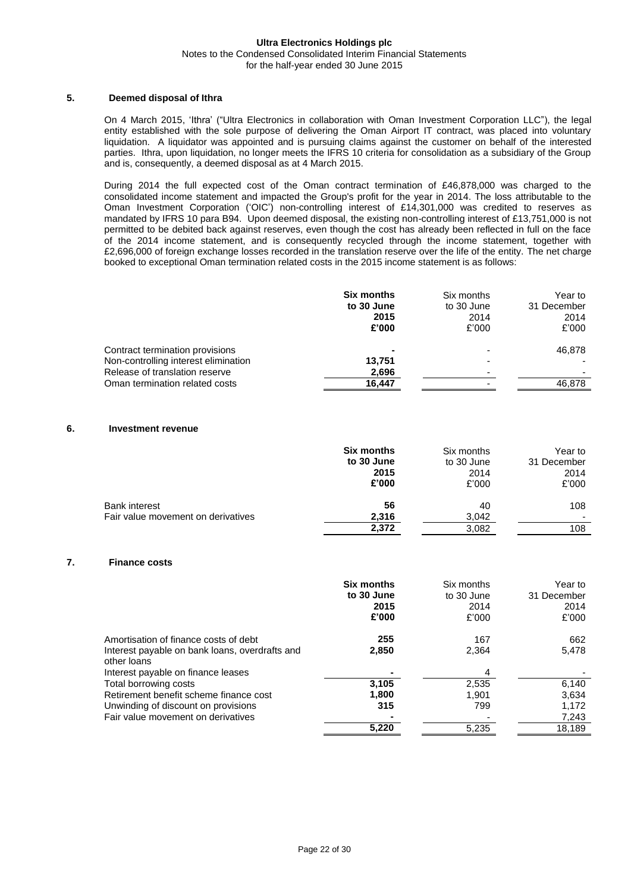## **Ultra Electronics Holdings plc** Notes to the Condensed Consolidated Interim Financial Statements for the half-year ended 30 June 2015

## **5. Deemed disposal of Ithra**

On 4 March 2015, 'Ithra' ("Ultra Electronics in collaboration with Oman Investment Corporation LLC"), the legal entity established with the sole purpose of delivering the Oman Airport IT contract, was placed into voluntary liquidation. A liquidator was appointed and is pursuing claims against the customer on behalf of the interested parties. Ithra, upon liquidation, no longer meets the IFRS 10 criteria for consolidation as a subsidiary of the Group and is, consequently, a deemed disposal as at 4 March 2015.

During 2014 the full expected cost of the Oman contract termination of £46,878,000 was charged to the consolidated income statement and impacted the Group's profit for the year in 2014. The loss attributable to the Oman Investment Corporation ('OIC') non-controlling interest of £14,301,000 was credited to reserves as mandated by IFRS 10 para B94. Upon deemed disposal, the existing non-controlling interest of £13,751,000 is not permitted to be debited back against reserves, even though the cost has already been reflected in full on the face of the 2014 income statement, and is consequently recycled through the income statement, together with £2,696,000 of foreign exchange losses recorded in the translation reserve over the life of the entity. The net charge booked to exceptional Oman termination related costs in the 2015 income statement is as follows:

|                                                                         | <b>Six months</b><br>to 30 June<br>2015<br>£'000 | Six months<br>to 30 June<br>2014<br>£'000 | Year to<br>31 December<br>2014<br>£'000 |
|-------------------------------------------------------------------------|--------------------------------------------------|-------------------------------------------|-----------------------------------------|
| Contract termination provisions<br>Non-controlling interest elimination | ۰<br>13,751                                      |                                           | 46,878                                  |
| Release of translation reserve<br>Oman termination related costs        | 2,696<br>16.447                                  |                                           | 46.878                                  |

#### **6. Investment revenue**

|                                                            | Six months           | Six months           | Year to     |
|------------------------------------------------------------|----------------------|----------------------|-------------|
|                                                            | to 30 June           | to 30 June           | 31 December |
|                                                            | 2015                 | 2014                 | 2014        |
|                                                            | £'000                | £'000                | £'000       |
| <b>Bank interest</b><br>Fair value movement on derivatives | 56<br>2,316<br>2,372 | 40<br>3,042<br>3,082 | 108<br>108  |

## **7. Finance costs**

|                                                                                                        | <b>Six months</b><br>to 30 June<br>2015<br>£'000 | Six months<br>to 30 June<br>2014<br>£'000 | Year to<br>31 December<br>2014<br>£'000 |
|--------------------------------------------------------------------------------------------------------|--------------------------------------------------|-------------------------------------------|-----------------------------------------|
| Amortisation of finance costs of debt<br>Interest payable on bank loans, overdrafts and<br>other loans | 255<br>2.850                                     | 167<br>2.364                              | 662<br>5.478                            |
| Interest payable on finance leases<br>Total borrowing costs                                            | 3,105                                            | 4<br>2,535                                | 6,140                                   |
| Retirement benefit scheme finance cost                                                                 | 1,800                                            | 1.901                                     | 3,634                                   |
| Unwinding of discount on provisions                                                                    | 315                                              | 799                                       | 1,172                                   |
| Fair value movement on derivatives                                                                     |                                                  |                                           | 7,243                                   |
|                                                                                                        | 5,220                                            | 5,235                                     | 18,189                                  |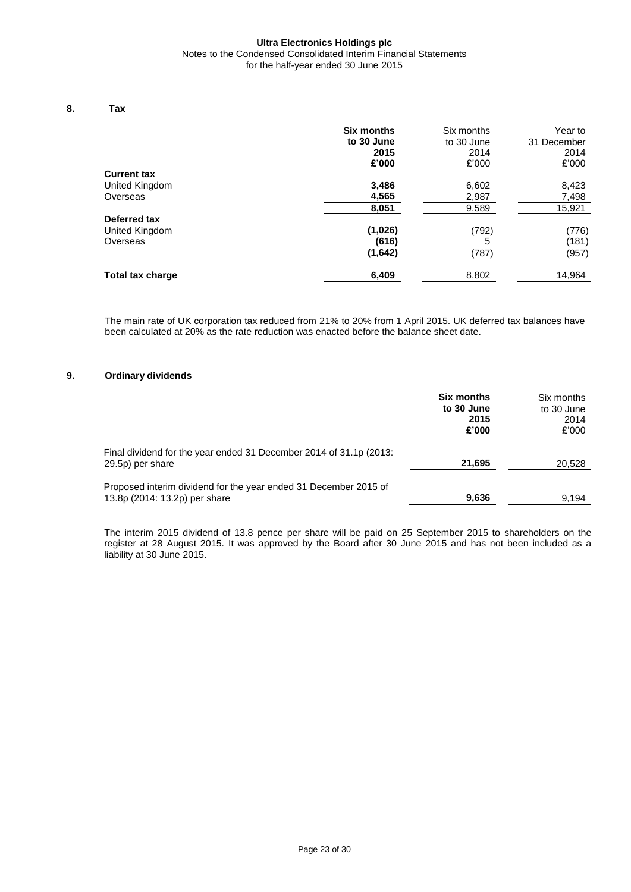## **Ultra Electronics Holdings plc** Notes to the Condensed Consolidated Interim Financial Statements for the half-year ended 30 June 2015

## **8. Tax**

|                    | <b>Six months</b><br>to 30 June<br>2015<br>£'000 | Six months<br>to 30 June<br>2014<br>£'000 | Year to<br>31 December<br>2014<br>£'000 |
|--------------------|--------------------------------------------------|-------------------------------------------|-----------------------------------------|
| <b>Current tax</b> |                                                  |                                           |                                         |
| United Kingdom     | 3,486                                            | 6,602                                     | 8,423                                   |
| Overseas           | 4,565                                            | 2,987                                     | 7,498                                   |
|                    | 8,051                                            | 9,589                                     | 15,921                                  |
| Deferred tax       |                                                  |                                           |                                         |
| United Kingdom     | (1,026)                                          | (792)                                     | (776)                                   |
| Overseas           | (616)                                            | 5                                         | (181)                                   |
|                    | (1,642)                                          | (787)                                     | (957)                                   |
| Total tax charge   | 6,409                                            | 8,802                                     | 14,964                                  |

The main rate of UK corporation tax reduced from 21% to 20% from 1 April 2015. UK deferred tax balances have been calculated at 20% as the rate reduction was enacted before the balance sheet date.

## **9. Ordinary dividends**

|                                                                                                   | <b>Six months</b><br>to 30 June<br>2015<br>£'000 | Six months<br>to 30 June<br>2014<br>£'000 |
|---------------------------------------------------------------------------------------------------|--------------------------------------------------|-------------------------------------------|
| Final dividend for the year ended 31 December 2014 of 31.1p (2013:<br>29.5p) per share            | 21,695                                           | 20,528                                    |
| Proposed interim dividend for the year ended 31 December 2015 of<br>13.8p (2014: 13.2p) per share | 9,636                                            | 9.194                                     |

The interim 2015 dividend of 13.8 pence per share will be paid on 25 September 2015 to shareholders on the register at 28 August 2015. It was approved by the Board after 30 June 2015 and has not been included as a liability at 30 June 2015.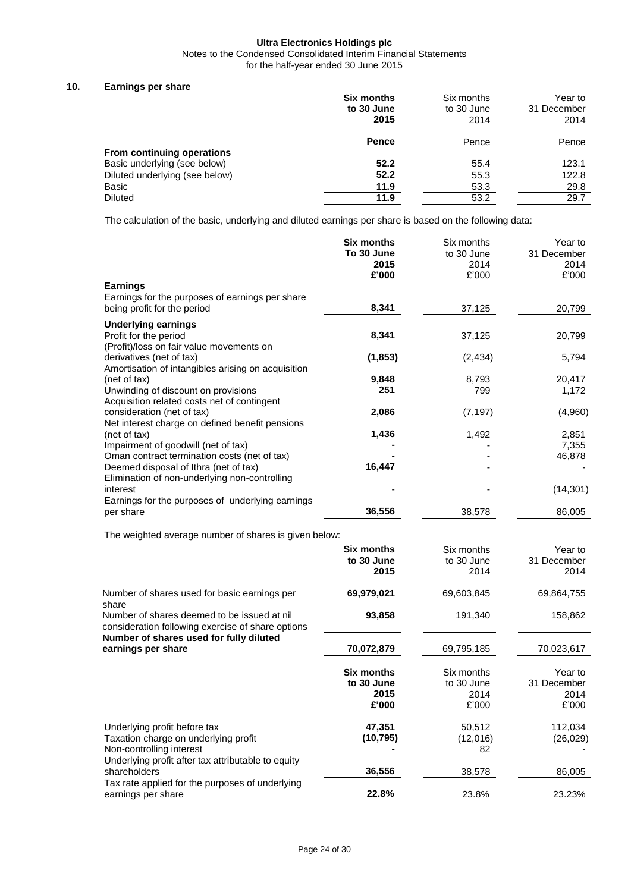Notes to the Condensed Consolidated Interim Financial Statements

for the half-year ended 30 June 2015

## **10. Earnings per share**

|                                | <b>Six months</b><br>to 30 June<br>2015 | Six months<br>to 30 June<br>2014 | Year to<br>31 December<br>2014 |
|--------------------------------|-----------------------------------------|----------------------------------|--------------------------------|
| From continuing operations     | <b>Pence</b>                            | Pence                            | Pence                          |
| Basic underlying (see below)   | 52.2                                    | 55.4                             | 123.1                          |
| Diluted underlying (see below) | 52.2                                    | 55.3                             | 122.8                          |
| Basic                          | 11.9                                    | 53.3                             | 29.8                           |
| <b>Diluted</b>                 | 11.9                                    | 53.2                             | 29.7                           |

The calculation of the basic, underlying and diluted earnings per share is based on the following data:

| <b>Earnings</b>                                                                                  | <b>Six months</b><br>To 30 June<br>2015<br>£'000 | Six months<br>to 30 June<br>2014<br>£'000 | Year to<br>31 December<br>2014<br>£'000 |
|--------------------------------------------------------------------------------------------------|--------------------------------------------------|-------------------------------------------|-----------------------------------------|
| Earnings for the purposes of earnings per share<br>being profit for the period                   | 8,341                                            | 37,125                                    | 20,799                                  |
| <b>Underlying earnings</b>                                                                       |                                                  |                                           |                                         |
| Profit for the period<br>(Profit)/loss on fair value movements on                                | 8,341                                            | 37,125                                    | 20,799                                  |
| derivatives (net of tax)<br>Amortisation of intangibles arising on acquisition                   | (1, 853)                                         | (2, 434)                                  | 5,794                                   |
| (net of tax)                                                                                     | 9,848                                            | 8,793                                     | 20,417                                  |
| Unwinding of discount on provisions                                                              | 251                                              | 799                                       | 1,172                                   |
| Acquisition related costs net of contingent<br>consideration (net of tax)                        | 2,086                                            | (7, 197)                                  | (4,960)                                 |
| Net interest charge on defined benefit pensions                                                  |                                                  |                                           |                                         |
| (net of tax)                                                                                     | 1,436                                            | 1,492                                     | 2,851                                   |
| Impairment of goodwill (net of tax)<br>Oman contract termination costs (net of tax)              |                                                  |                                           | 7,355<br>46,878                         |
| Deemed disposal of Ithra (net of tax)                                                            | 16,447                                           |                                           |                                         |
| Elimination of non-underlying non-controlling<br>interest                                        |                                                  |                                           | (14, 301)                               |
| Earnings for the purposes of underlying earnings<br>per share                                    | 36,556                                           | 38,578                                    | 86,005                                  |
| The weighted average number of shares is given below:                                            |                                                  |                                           |                                         |
|                                                                                                  | Six months                                       | Six months                                | Year to                                 |
|                                                                                                  | to 30 June                                       | to 30 June                                | 31 December                             |
|                                                                                                  | 2015                                             | 2014                                      | 2014                                    |
| Number of shares used for basic earnings per<br>share                                            | 69,979,021                                       | 69,603,845                                | 69,864,755                              |
| Number of shares deemed to be issued at nil<br>consideration following exercise of share options | 93,858                                           | 191,340                                   | 158,862                                 |
| Number of shares used for fully diluted<br>earnings per share                                    | 70,072,879                                       | 69,795,185                                | 70,023,617                              |
|                                                                                                  | <b>Six months</b>                                | Six months                                | Year to                                 |
|                                                                                                  | to 30 June                                       | to 30 June                                | 31 December                             |
|                                                                                                  | 2015                                             | 2014                                      | 2014                                    |
|                                                                                                  | £'000                                            | £'000                                     | £'000                                   |
| Underlying profit before tax                                                                     | 47,351                                           | 50,512                                    | 112,034                                 |
| Taxation charge on underlying profit<br>Non-controlling interest                                 | (10, 795)                                        | (12,016)<br>82                            | (26, 029)                               |
| Underlying profit after tax attributable to equity                                               |                                                  |                                           |                                         |
| shareholders                                                                                     | 36,556                                           | 38,578                                    | 86,005                                  |
| Tax rate applied for the purposes of underlying<br>earnings per share                            | 22.8%                                            | 23.8%                                     | 23.23%                                  |
|                                                                                                  |                                                  |                                           |                                         |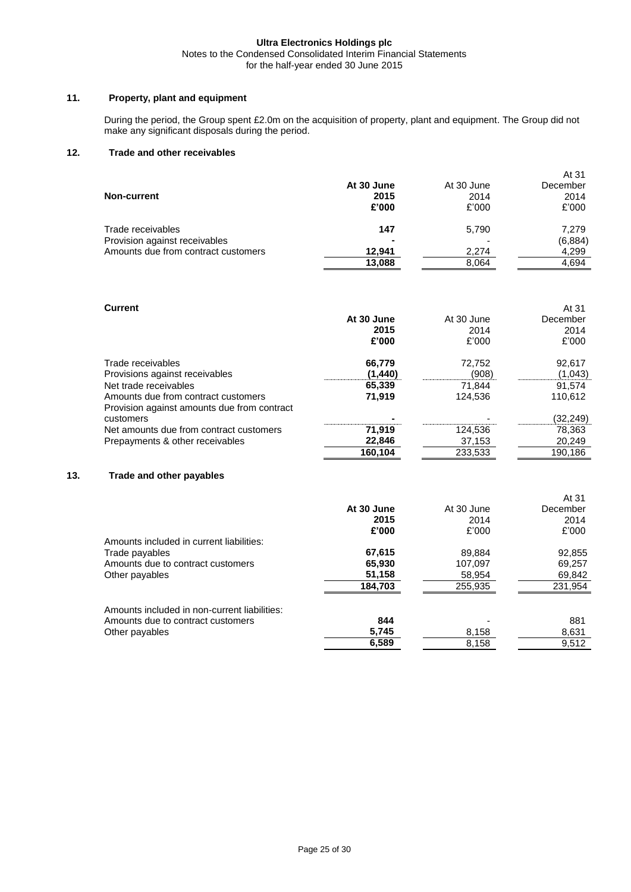Notes to the Condensed Consolidated Interim Financial Statements for the half-year ended 30 June 2015

# **11. Property, plant and equipment**

During the period, the Group spent £2.0m on the acquisition of property, plant and equipment. The Group did not make any significant disposals during the period.

## **12. Trade and other receivables**

|                                     |                |            | AI 31    |
|-------------------------------------|----------------|------------|----------|
|                                     | At 30 June     | At 30 June | December |
| <b>Non-current</b>                  | 2015           | 2014       | 2014     |
|                                     | £'000          | £'000      | £'000    |
| Trade receivables                   | 147            | 5,790      | 7,279    |
| Provision against receivables       | $\blacksquare$ |            | (6,884)  |
| Amounts due from contract customers | 12.941         | 2,274      | 4,299    |
|                                     | 13,088         | 8.064      | 4,694    |

 $4.21$ 

# **Current**

| <b>Current</b>                                                                                                                                                     | At 30 June<br>2015<br>£'000           | At 30 June<br>2014<br>£'000          | At 31<br>December<br>2014<br>£'000     |
|--------------------------------------------------------------------------------------------------------------------------------------------------------------------|---------------------------------------|--------------------------------------|----------------------------------------|
| Trade receivables<br>Provisions against receivables<br>Net trade receivables<br>Amounts due from contract customers<br>Provision against amounts due from contract | 66,779<br>(1,440)<br>65,339<br>71,919 | 72,752<br>(908)<br>71,844<br>124,536 | 92,617<br>(1,043)<br>91.574<br>110,612 |
| customers                                                                                                                                                          |                                       |                                      | (32,249)                               |
| Net amounts due from contract customers                                                                                                                            | 71,919                                | 124,536                              | 78,363                                 |
| Prepayments & other receivables                                                                                                                                    | 22,846                                | 37,153                               | 20,249                                 |
|                                                                                                                                                                    | 160,104                               | 233,533                              | 190.186                                |

## **13. Trade and other payables**

|                                              | At 30 June<br>2015<br>£'000 | At 30 June<br>2014<br>£'000 | At 31<br>December<br>2014<br>£'000 |
|----------------------------------------------|-----------------------------|-----------------------------|------------------------------------|
| Amounts included in current liabilities:     |                             |                             |                                    |
| Trade payables                               | 67,615                      | 89.884                      | 92,855                             |
| Amounts due to contract customers            | 65,930                      | 107.097                     | 69.257                             |
| Other payables                               | 51,158                      | 58,954                      | 69,842                             |
|                                              | 184,703                     | 255,935                     | 231,954                            |
| Amounts included in non-current liabilities: |                             |                             |                                    |
| Amounts due to contract customers            | 844                         |                             | 881                                |
| Other payables                               | 5,745                       | 8,158                       | 8,631                              |
|                                              | 6.589                       | 8.158                       | 9.512                              |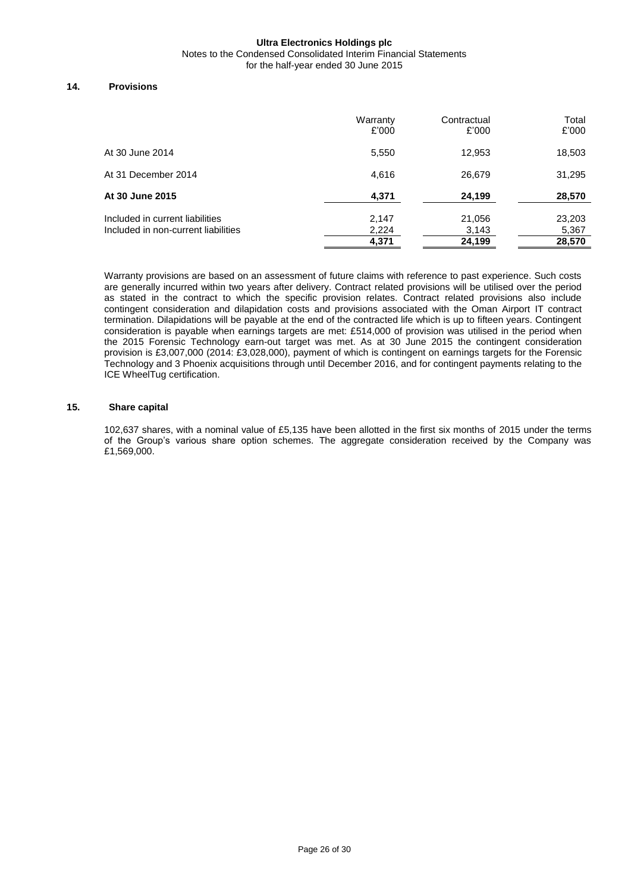Notes to the Condensed Consolidated Interim Financial Statements

for the half-year ended 30 June 2015

## **14. Provisions**

|                                                                        | Warranty<br>£'000 | Contractual<br>£'000 | Total<br>£'000  |
|------------------------------------------------------------------------|-------------------|----------------------|-----------------|
| At 30 June 2014                                                        | 5,550             | 12,953               | 18,503          |
| At 31 December 2014                                                    | 4.616             | 26,679               | 31,295          |
| At 30 June 2015                                                        | 4,371             | 24,199               | 28,570          |
| Included in current liabilities<br>Included in non-current liabilities | 2,147<br>2,224    | 21,056<br>3,143      | 23,203<br>5,367 |
|                                                                        | 4,371             | 24,199               | 28,570          |

Warranty provisions are based on an assessment of future claims with reference to past experience. Such costs are generally incurred within two years after delivery. Contract related provisions will be utilised over the period as stated in the contract to which the specific provision relates. Contract related provisions also include contingent consideration and dilapidation costs and provisions associated with the Oman Airport IT contract termination. Dilapidations will be payable at the end of the contracted life which is up to fifteen years. Contingent consideration is payable when earnings targets are met: £514,000 of provision was utilised in the period when the 2015 Forensic Technology earn-out target was met. As at 30 June 2015 the contingent consideration provision is £3,007,000 (2014: £3,028,000), payment of which is contingent on earnings targets for the Forensic Technology and 3 Phoenix acquisitions through until December 2016, and for contingent payments relating to the ICE WheelTug certification.

## **15. Share capital**

102,637 shares, with a nominal value of £5,135 have been allotted in the first six months of 2015 under the terms of the Group's various share option schemes. The aggregate consideration received by the Company was £1,569,000.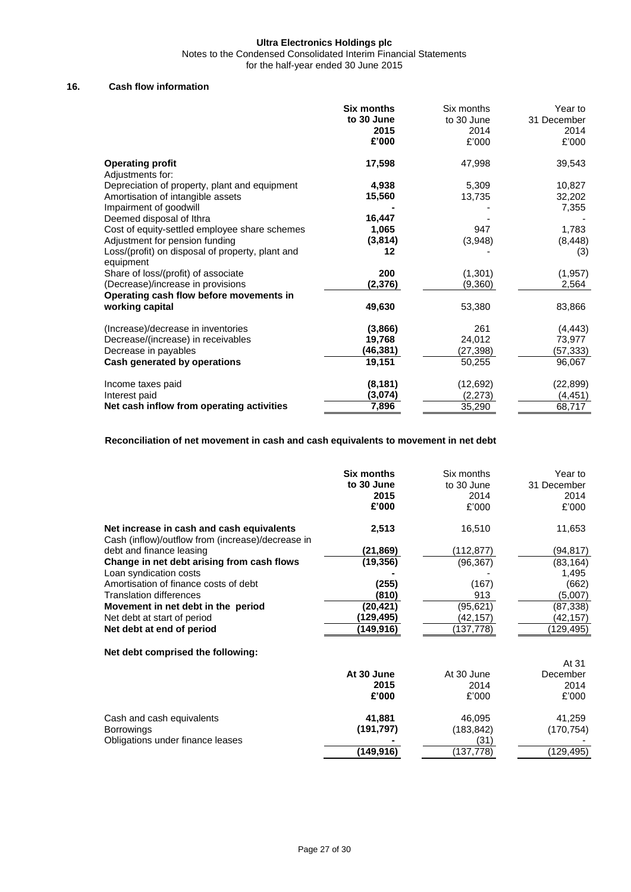Notes to the Condensed Consolidated Interim Financial Statements

for the half-year ended 30 June 2015

## **16. Cash flow information**

|                                                  | Six months | Six months | Year to     |
|--------------------------------------------------|------------|------------|-------------|
|                                                  | to 30 June | to 30 June | 31 December |
|                                                  | 2015       | 2014       | 2014        |
|                                                  | £'000      | £'000      | £'000       |
| <b>Operating profit</b>                          | 17,598     | 47,998     | 39,543      |
| Adjustments for:                                 |            |            |             |
| Depreciation of property, plant and equipment    | 4,938      | 5,309      | 10,827      |
| Amortisation of intangible assets                | 15,560     | 13,735     | 32,202      |
| Impairment of goodwill                           |            |            | 7,355       |
| Deemed disposal of Ithra                         | 16,447     |            |             |
| Cost of equity-settled employee share schemes    | 1,065      | 947        | 1,783       |
| Adjustment for pension funding                   | (3,814)    | (3,948)    | (8, 448)    |
| Loss/(profit) on disposal of property, plant and | 12         |            | (3)         |
| equipment                                        |            |            |             |
| Share of loss/(profit) of associate              | 200        | (1,301)    | (1, 957)    |
| (Decrease)/increase in provisions                | (2,376)    | (9,360)    | 2,564       |
| Operating cash flow before movements in          |            |            |             |
| working capital                                  | 49,630     | 53,380     | 83,866      |
| (Increase)/decrease in inventories               | (3,866)    | 261        | (4, 443)    |
| Decrease/(increase) in receivables               | 19,768     | 24,012     | 73,977      |
| Decrease in payables                             | (46,381)   | (27,398)   | (57, 333)   |
| Cash generated by operations                     | 19,151     | 50,255     | 96,067      |
| Income taxes paid                                | (8, 181)   | (12, 692)  | (22, 899)   |
| Interest paid                                    | (3,074)    | (2,273)    | (4, 451)    |
| Net cash inflow from operating activities        | 7,896      | 35,290     | 68,717      |

# **Reconciliation of net movement in cash and cash equivalents to movement in net debt**

| 2,513<br>Net increase in cash and cash equivalents<br>16,510<br>11,653<br>Cash (inflow)/outflow from (increase)/decrease in<br>debt and finance leasing<br>(21, 869)<br>(112,877)<br>(94,817)<br>Change in net debt arising from cash flows<br>(19, 356)<br>(96, 367)<br>(83, 164)<br>Loan syndication costs<br>1,495<br>Amortisation of finance costs of debt<br>(255)<br>(167)<br>(662)<br>(810)<br><b>Translation differences</b><br>913<br>(5,007)<br>Movement in net debt in the period<br>(20, 421)<br>(95,621)<br>(87,338)<br>Net debt at start of period<br>(129,495)<br>(42,157)<br>(42,157)<br>Net debt at end of period<br>(149,916)<br>(137,778)<br>(129, 495)<br>Net debt comprised the following:<br>At 31<br>At 30 June<br>December<br>At 30 June<br>2014<br>2015<br>2014<br>£'000<br>£'000<br>£'000<br>41,881<br>46,095<br>41,259<br>Cash and cash equivalents<br>(191, 797)<br>(170, 754)<br><b>Borrowings</b><br>(183, 842)<br>Obligations under finance leases<br>(31)<br>(149, 916)<br>(137, 778)<br>(129,495) | <b>Six months</b><br>to 30 June<br>2015<br>£'000 | Six months<br>to 30 June<br>2014<br>£'000 | Year to<br>31 December<br>2014<br>£'000 |
|------------------------------------------------------------------------------------------------------------------------------------------------------------------------------------------------------------------------------------------------------------------------------------------------------------------------------------------------------------------------------------------------------------------------------------------------------------------------------------------------------------------------------------------------------------------------------------------------------------------------------------------------------------------------------------------------------------------------------------------------------------------------------------------------------------------------------------------------------------------------------------------------------------------------------------------------------------------------------------------------------------------------------------|--------------------------------------------------|-------------------------------------------|-----------------------------------------|
|                                                                                                                                                                                                                                                                                                                                                                                                                                                                                                                                                                                                                                                                                                                                                                                                                                                                                                                                                                                                                                    |                                                  |                                           |                                         |
|                                                                                                                                                                                                                                                                                                                                                                                                                                                                                                                                                                                                                                                                                                                                                                                                                                                                                                                                                                                                                                    |                                                  |                                           |                                         |
|                                                                                                                                                                                                                                                                                                                                                                                                                                                                                                                                                                                                                                                                                                                                                                                                                                                                                                                                                                                                                                    |                                                  |                                           |                                         |
|                                                                                                                                                                                                                                                                                                                                                                                                                                                                                                                                                                                                                                                                                                                                                                                                                                                                                                                                                                                                                                    |                                                  |                                           |                                         |
|                                                                                                                                                                                                                                                                                                                                                                                                                                                                                                                                                                                                                                                                                                                                                                                                                                                                                                                                                                                                                                    |                                                  |                                           |                                         |
|                                                                                                                                                                                                                                                                                                                                                                                                                                                                                                                                                                                                                                                                                                                                                                                                                                                                                                                                                                                                                                    |                                                  |                                           |                                         |
|                                                                                                                                                                                                                                                                                                                                                                                                                                                                                                                                                                                                                                                                                                                                                                                                                                                                                                                                                                                                                                    |                                                  |                                           |                                         |
|                                                                                                                                                                                                                                                                                                                                                                                                                                                                                                                                                                                                                                                                                                                                                                                                                                                                                                                                                                                                                                    |                                                  |                                           |                                         |
|                                                                                                                                                                                                                                                                                                                                                                                                                                                                                                                                                                                                                                                                                                                                                                                                                                                                                                                                                                                                                                    |                                                  |                                           |                                         |
|                                                                                                                                                                                                                                                                                                                                                                                                                                                                                                                                                                                                                                                                                                                                                                                                                                                                                                                                                                                                                                    |                                                  |                                           |                                         |
|                                                                                                                                                                                                                                                                                                                                                                                                                                                                                                                                                                                                                                                                                                                                                                                                                                                                                                                                                                                                                                    |                                                  |                                           |                                         |
|                                                                                                                                                                                                                                                                                                                                                                                                                                                                                                                                                                                                                                                                                                                                                                                                                                                                                                                                                                                                                                    |                                                  |                                           |                                         |
|                                                                                                                                                                                                                                                                                                                                                                                                                                                                                                                                                                                                                                                                                                                                                                                                                                                                                                                                                                                                                                    |                                                  |                                           |                                         |
|                                                                                                                                                                                                                                                                                                                                                                                                                                                                                                                                                                                                                                                                                                                                                                                                                                                                                                                                                                                                                                    |                                                  |                                           |                                         |
|                                                                                                                                                                                                                                                                                                                                                                                                                                                                                                                                                                                                                                                                                                                                                                                                                                                                                                                                                                                                                                    |                                                  |                                           |                                         |
|                                                                                                                                                                                                                                                                                                                                                                                                                                                                                                                                                                                                                                                                                                                                                                                                                                                                                                                                                                                                                                    |                                                  |                                           |                                         |
|                                                                                                                                                                                                                                                                                                                                                                                                                                                                                                                                                                                                                                                                                                                                                                                                                                                                                                                                                                                                                                    |                                                  |                                           |                                         |
|                                                                                                                                                                                                                                                                                                                                                                                                                                                                                                                                                                                                                                                                                                                                                                                                                                                                                                                                                                                                                                    |                                                  |                                           |                                         |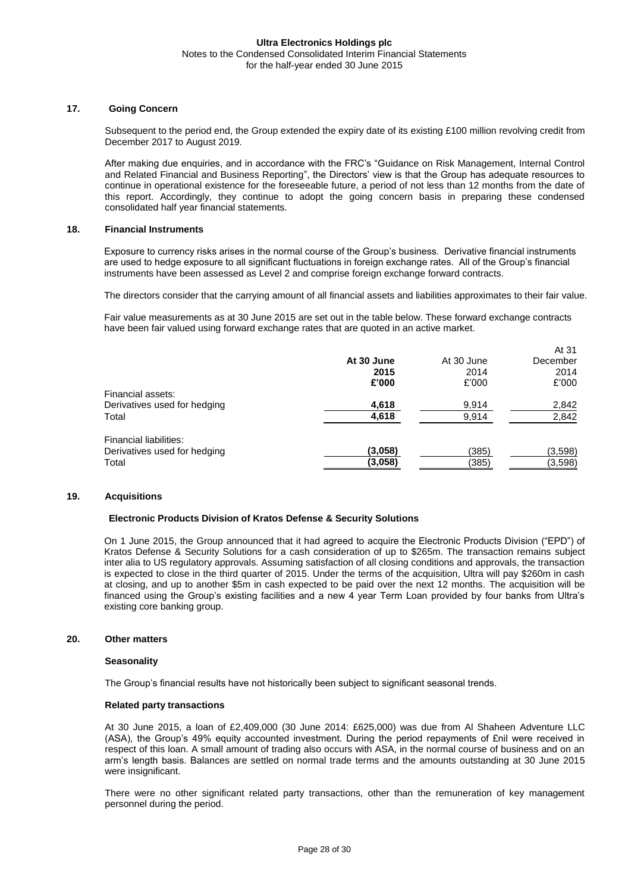## **17. Going Concern**

Subsequent to the period end, the Group extended the expiry date of its existing £100 million revolving credit from December 2017 to August 2019.

After making due enquiries, and in accordance with the FRC's "Guidance on Risk Management, Internal Control and Related Financial and Business Reporting", the Directors' view is that the Group has adequate resources to continue in operational existence for the foreseeable future, a period of not less than 12 months from the date of this report. Accordingly, they continue to adopt the going concern basis in preparing these condensed consolidated half year financial statements.

## **18. Financial Instruments**

Exposure to currency risks arises in the normal course of the Group's business. Derivative financial instruments are used to hedge exposure to all significant fluctuations in foreign exchange rates. All of the Group's financial instruments have been assessed as Level 2 and comprise foreign exchange forward contracts.

The directors consider that the carrying amount of all financial assets and liabilities approximates to their fair value.

 $\overline{a}$ 

Fair value measurements as at 30 June 2015 are set out in the table below. These forward exchange contracts have been fair valued using forward exchange rates that are quoted in an active market.

|                              |            |            | Al 31    |
|------------------------------|------------|------------|----------|
|                              | At 30 June | At 30 June | December |
|                              | 2015       | 2014       | 2014     |
|                              | £'000      | £'000      | £'000    |
| Financial assets:            |            |            |          |
| Derivatives used for hedging | 4,618      | 9,914      | 2,842    |
| Total                        | 4,618      | 9,914      | 2,842    |
| Financial liabilities:       |            |            |          |
| Derivatives used for hedging | (3,058)    | (385)      | (3,598)  |
| Total                        | (3,058)    | (385)      | (3, 598) |
|                              |            |            |          |

## **19. Acquisitions**

#### **Electronic Products Division of Kratos Defense & Security Solutions**

On 1 June 2015, the Group announced that it had agreed to acquire the Electronic Products Division ("EPD") of Kratos Defense & Security Solutions for a cash consideration of up to \$265m. The transaction remains subject inter alia to US regulatory approvals. Assuming satisfaction of all closing conditions and approvals, the transaction is expected to close in the third quarter of 2015. Under the terms of the acquisition, Ultra will pay \$260m in cash at closing, and up to another \$5m in cash expected to be paid over the next 12 months. The acquisition will be financed using the Group's existing facilities and a new 4 year Term Loan provided by four banks from Ultra's existing core banking group.

#### **20. Other matters**

#### **Seasonality**

The Group's financial results have not historically been subject to significant seasonal trends.

## **Related party transactions**

At 30 June 2015, a loan of £2,409,000 (30 June 2014: £625,000) was due from Al Shaheen Adventure LLC (ASA), the Group's 49% equity accounted investment. During the period repayments of £nil were received in respect of this loan. A small amount of trading also occurs with ASA, in the normal course of business and on an arm's length basis. Balances are settled on normal trade terms and the amounts outstanding at 30 June 2015 were insignificant.

There were no other significant related party transactions, other than the remuneration of key management personnel during the period.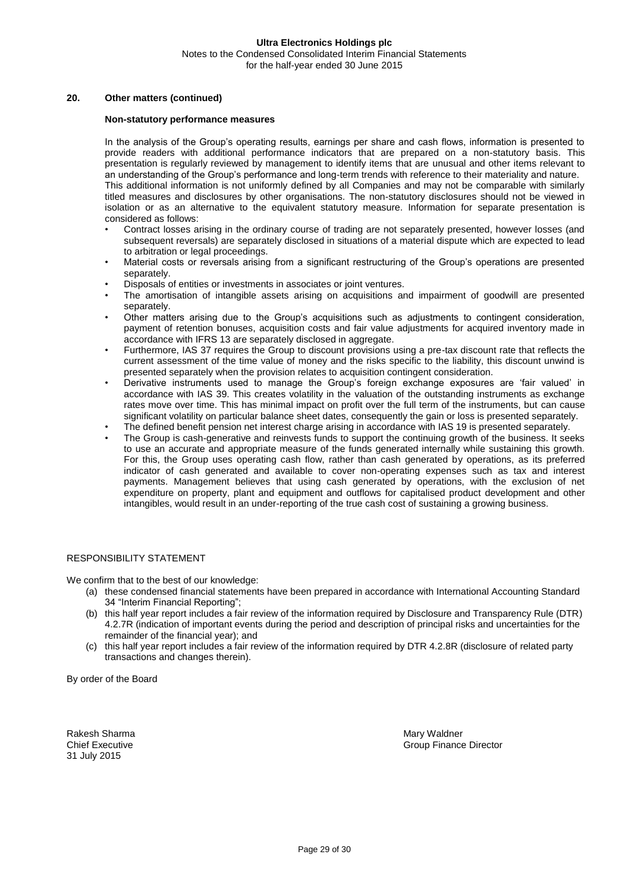## **20. Other matters (continued)**

#### **Non-statutory performance measures**

In the analysis of the Group's operating results, earnings per share and cash flows, information is presented to provide readers with additional performance indicators that are prepared on a non-statutory basis. This presentation is regularly reviewed by management to identify items that are unusual and other items relevant to an understanding of the Group's performance and long-term trends with reference to their materiality and nature. This additional information is not uniformly defined by all Companies and may not be comparable with similarly titled measures and disclosures by other organisations. The non-statutory disclosures should not be viewed in isolation or as an alternative to the equivalent statutory measure. Information for separate presentation is considered as follows:

- Contract losses arising in the ordinary course of trading are not separately presented, however losses (and subsequent reversals) are separately disclosed in situations of a material dispute which are expected to lead to arbitration or legal proceedings.
- Material costs or reversals arising from a significant restructuring of the Group's operations are presented separately.
- Disposals of entities or investments in associates or joint ventures.
- The amortisation of intangible assets arising on acquisitions and impairment of goodwill are presented separately.
- Other matters arising due to the Group's acquisitions such as adjustments to contingent consideration, payment of retention bonuses, acquisition costs and fair value adjustments for acquired inventory made in accordance with IFRS 13 are separately disclosed in aggregate.
- Furthermore, IAS 37 requires the Group to discount provisions using a pre-tax discount rate that reflects the current assessment of the time value of money and the risks specific to the liability, this discount unwind is presented separately when the provision relates to acquisition contingent consideration.
- Derivative instruments used to manage the Group's foreign exchange exposures are 'fair valued' in accordance with IAS 39. This creates volatility in the valuation of the outstanding instruments as exchange rates move over time. This has minimal impact on profit over the full term of the instruments, but can cause significant volatility on particular balance sheet dates, consequently the gain or loss is presented separately.
- The defined benefit pension net interest charge arising in accordance with IAS 19 is presented separately.
- The Group is cash-generative and reinvests funds to support the continuing growth of the business. It seeks to use an accurate and appropriate measure of the funds generated internally while sustaining this growth. For this, the Group uses operating cash flow, rather than cash generated by operations, as its preferred indicator of cash generated and available to cover non-operating expenses such as tax and interest payments. Management believes that using cash generated by operations, with the exclusion of net expenditure on property, plant and equipment and outflows for capitalised product development and other intangibles, would result in an under-reporting of the true cash cost of sustaining a growing business.

## RESPONSIBILITY STATEMENT

We confirm that to the best of our knowledge:

- (a) these condensed financial statements have been prepared in accordance with International Accounting Standard 34 "Interim Financial Reporting";
- (b) this half year report includes a fair review of the information required by Disclosure and Transparency Rule (DTR) 4.2.7R (indication of important events during the period and description of principal risks and uncertainties for the remainder of the financial year); and
- (c) this half year report includes a fair review of the information required by DTR 4.2.8R (disclosure of related party transactions and changes therein).

By order of the Board

Rakesh Sharma Mary Waldner 31 July 2015

Chief Executive Group Finance Director